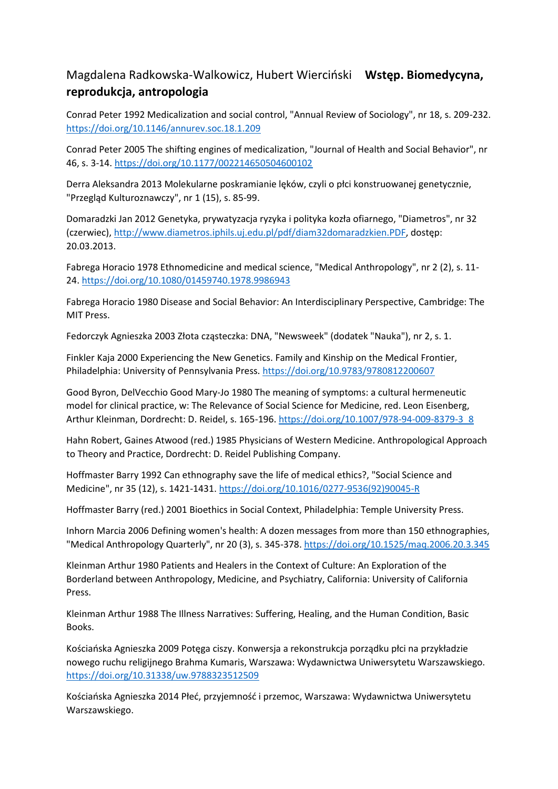## Magdalena Radkowska-Walkowicz, Hubert Wierciński **Wstęp. Biomedycyna, reprodukcja, antropologia**

Conrad Peter 1992 Medicalization and social control, "Annual Review of Sociology", nr 18, s. 209-232. <https://doi.org/10.1146/annurev.soc.18.1.209>

Conrad Peter 2005 The shifting engines of medicalization, "Journal of Health and Social Behavior", nr 46, s. 3-14. <https://doi.org/10.1177/002214650504600102>

Derra Aleksandra 2013 Molekularne poskramianie lęków, czyli o płci konstruowanej genetycznie, "Przegląd Kulturoznawczy", nr 1 (15), s. 85-99.

Domaradzki Jan 2012 Genetyka, prywatyzacja ryzyka i polityka kozła ofiarnego, "Diametros", nr 32 (czerwiec)[, http://www.diametros.iphils.uj.edu.pl/pdf/diam32domaradzkien.PDF,](http://www.diametros.iphils.uj.edu.pl/pdf/diam32domaradzkien.PDF) dostęp: 20.03.2013.

Fabrega Horacio 1978 Ethnomedicine and medical science, "Medical Anthropology", nr 2 (2), s. 11- 24. <https://doi.org/10.1080/01459740.1978.9986943>

Fabrega Horacio 1980 Disease and Social Behavior: An Interdisciplinary Perspective, Cambridge: The MIT Press.

Fedorczyk Agnieszka 2003 Złota cząsteczka: DNA, "Newsweek" (dodatek "Nauka"), nr 2, s. 1.

Finkler Kaja 2000 Experiencing the New Genetics. Family and Kinship on the Medical Frontier, Philadelphia: University of Pennsylvania Press. <https://doi.org/10.9783/9780812200607>

Good Byron, DelVecchio Good Mary-Jo 1980 The meaning of symptoms: a cultural hermeneutic model for clinical practice, w: The Relevance of Social Science for Medicine, red. Leon Eisenberg, Arthur Kleinman, Dordrecht: D. Reidel, s. 165-196. [https://doi.org/10.1007/978-94-009-8379-3\\_8](https://doi.org/10.1007/978-94-009-8379-3_8)

Hahn Robert, Gaines Atwood (red.) 1985 Physicians of Western Medicine. Anthropological Approach to Theory and Practice, Dordrecht: D. Reidel Publishing Company.

Hoffmaster Barry 1992 Can ethnography save the life of medical ethics?, "Social Science and Medicine", nr 35 (12), s. 1421-1431. [https://doi.org/10.1016/0277-9536\(92\)90045-R](https://doi.org/10.1016/0277-9536(92)90045-R)

Hoffmaster Barry (red.) 2001 Bioethics in Social Context, Philadelphia: Temple University Press.

Inhorn Marcia 2006 Defining women's health: A dozen messages from more than 150 ethnographies, "Medical Anthropology Quarterly", nr 20 (3), s. 345-378. <https://doi.org/10.1525/maq.2006.20.3.345>

Kleinman Arthur 1980 Patients and Healers in the Context of Culture: An Exploration of the Borderland between Anthropology, Medicine, and Psychiatry, California: University of California Press.

Kleinman Arthur 1988 The Illness Narratives: Suffering, Healing, and the Human Condition, Basic Books.

Kościańska Agnieszka 2009 Potęga ciszy. Konwersja a rekonstrukcja porządku płci na przykładzie nowego ruchu religijnego Brahma Kumaris, Warszawa: Wydawnictwa Uniwersytetu Warszawskiego. <https://doi.org/10.31338/uw.9788323512509>

Kościańska Agnieszka 2014 Płeć, przyjemność i przemoc, Warszawa: Wydawnictwa Uniwersytetu Warszawskiego.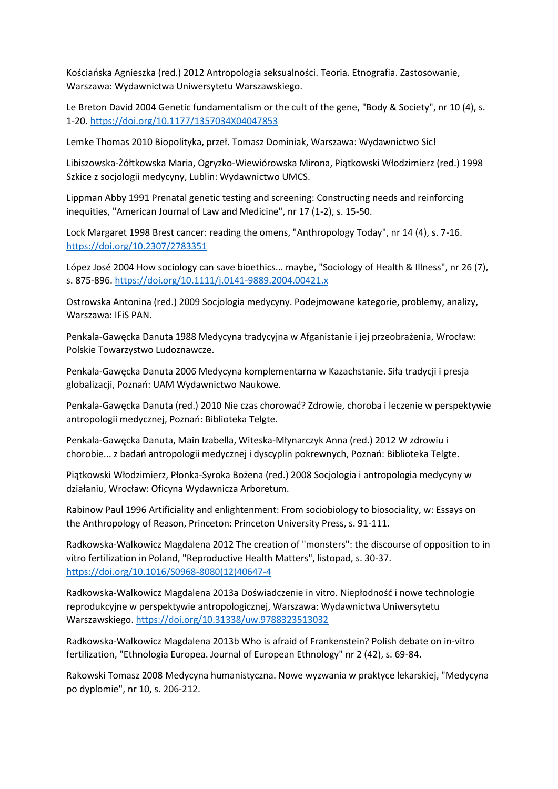Kościańska Agnieszka (red.) 2012 Antropologia seksualności. Teoria. Etnografia. Zastosowanie, Warszawa: Wydawnictwa Uniwersytetu Warszawskiego.

Le Breton David 2004 Genetic fundamentalism or the cult of the gene, "Body & Society", nr 10 (4), s. 1-20. <https://doi.org/10.1177/1357034X04047853>

Lemke Thomas 2010 Biopolityka, przeł. Tomasz Dominiak, Warszawa: Wydawnictwo Sic!

Libiszowska-Żółtkowska Maria, Ogryzko-Wiewiórowska Mirona, Piątkowski Włodzimierz (red.) 1998 Szkice z socjologii medycyny, Lublin: Wydawnictwo UMCS.

Lippman Abby 1991 Prenatal genetic testing and screening: Constructing needs and reinforcing inequities, "American Journal of Law and Medicine", nr 17 (1-2), s. 15-50.

Lock Margaret 1998 Brest cancer: reading the omens, "Anthropology Today", nr 14 (4), s. 7-16. <https://doi.org/10.2307/2783351>

López José 2004 How sociology can save bioethics... maybe, "Sociology of Health & Illness", nr 26 (7), s. 875-896. <https://doi.org/10.1111/j.0141-9889.2004.00421.x>

Ostrowska Antonina (red.) 2009 Socjologia medycyny. Podejmowane kategorie, problemy, analizy, Warszawa: IFiS PAN.

Penkala-Gawęcka Danuta 1988 Medycyna tradycyjna w Afganistanie i jej przeobrażenia, Wrocław: Polskie Towarzystwo Ludoznawcze.

Penkala-Gawęcka Danuta 2006 Medycyna komplementarna w Kazachstanie. Siła tradycji i presja globalizacji, Poznań: UAM Wydawnictwo Naukowe.

Penkala-Gawęcka Danuta (red.) 2010 Nie czas chorować? Zdrowie, choroba i leczenie w perspektywie antropologii medycznej, Poznań: Biblioteka Telgte.

Penkala-Gawęcka Danuta, Main Izabella, Witeska-Młynarczyk Anna (red.) 2012 W zdrowiu i chorobie... z badań antropologii medycznej i dyscyplin pokrewnych, Poznań: Biblioteka Telgte.

Piątkowski Włodzimierz, Płonka-Syroka Bożena (red.) 2008 Socjologia i antropologia medycyny w działaniu, Wrocław: Oficyna Wydawnicza Arboretum.

Rabinow Paul 1996 Artificiality and enlightenment: From sociobiology to biosociality, w: Essays on the Anthropology of Reason, Princeton: Princeton University Press, s. 91-111.

Radkowska-Walkowicz Magdalena 2012 The creation of "monsters": the discourse of opposition to in vitro fertilization in Poland, "Reproductive Health Matters", listopad, s. 30-37. [https://doi.org/10.1016/S0968-8080\(12\)40647-4](https://doi.org/10.1016/S0968-8080(12)40647-4)

Radkowska-Walkowicz Magdalena 2013a Doświadczenie in vitro. Niepłodność i nowe technologie reprodukcyjne w perspektywie antropologicznej, Warszawa: Wydawnictwa Uniwersytetu Warszawskiego. <https://doi.org/10.31338/uw.9788323513032>

Radkowska-Walkowicz Magdalena 2013b Who is afraid of Frankenstein? Polish debate on in-vitro fertilization, "Ethnologia Europea. Journal of European Ethnology" nr 2 (42), s. 69-84.

Rakowski Tomasz 2008 Medycyna humanistyczna. Nowe wyzwania w praktyce lekarskiej, "Medycyna po dyplomie", nr 10, s. 206-212.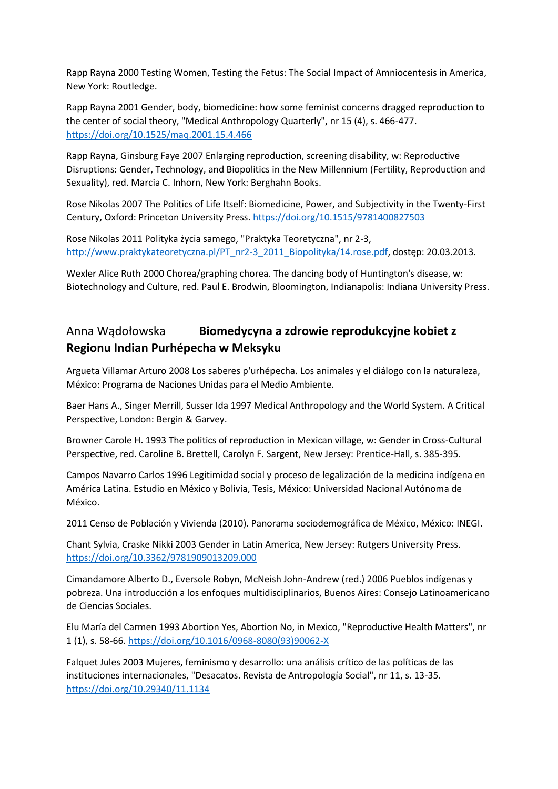Rapp Rayna 2000 Testing Women, Testing the Fetus: The Social Impact of Amniocentesis in America, New York: Routledge.

Rapp Rayna 2001 Gender, body, biomedicine: how some feminist concerns dragged reproduction to the center of social theory, "Medical Anthropology Quarterly", nr 15 (4), s. 466-477. <https://doi.org/10.1525/maq.2001.15.4.466>

Rapp Rayna, Ginsburg Faye 2007 Enlarging reproduction, screening disability, w: Reproductive Disruptions: Gender, Technology, and Biopolitics in the New Millennium (Fertility, Reproduction and Sexuality), red. Marcia C. Inhorn, New York: Berghahn Books.

Rose Nikolas 2007 The Politics of Life Itself: Biomedicine, Power, and Subjectivity in the Twenty-First Century, Oxford: Princeton University Press. <https://doi.org/10.1515/9781400827503>

Rose Nikolas 2011 Polityka życia samego, "Praktyka Teoretyczna", nr 2-3, [http://www.praktykateoretyczna.pl/PT\\_nr2-3\\_2011\\_Biopolityka/14.rose.pdf,](http://www.praktykateoretyczna.pl/PT_nr2-3_2011_Biopolityka/14.rose.pdf) dostęp: 20.03.2013.

Wexler Alice Ruth 2000 Chorea/graphing chorea. The dancing body of Huntington's disease, w: Biotechnology and Culture, red. Paul E. Brodwin, Bloomington, Indianapolis: Indiana University Press.

## Anna Wądołowska **Biomedycyna a zdrowie reprodukcyjne kobiet z Regionu Indian Purhépecha w Meksyku**

Argueta Villamar Arturo 2008 Los saberes p'urhépecha. Los animales y el diálogo con la naturaleza, México: Programa de Naciones Unidas para el Medio Ambiente.

Baer Hans A., Singer Merrill, Susser Ida 1997 Medical Anthropology and the World System. A Critical Perspective, London: Bergin & Garvey.

Browner Carole H. 1993 The politics of reproduction in Mexican village, w: Gender in Cross-Cultural Perspective, red. Caroline B. Brettell, Carolyn F. Sargent, New Jersey: Prentice-Hall, s. 385-395.

Campos Navarro Carlos 1996 Legitimidad social y proceso de legalización de la medicina indígena en América Latina. Estudio en México y Bolivia, Tesis, México: Universidad Nacional Autónoma de México.

2011 Censo de Población y Vivienda (2010). Panorama sociodemográfica de México, México: INEGI.

Chant Sylvia, Craske Nikki 2003 Gender in Latin America, New Jersey: Rutgers University Press. <https://doi.org/10.3362/9781909013209.000>

Cimandamore Alberto D., Eversole Robyn, McNeish John-Andrew (red.) 2006 Pueblos indígenas y pobreza. Una introducción a los enfoques multidisciplinarios, Buenos Aires: Consejo Latinoamericano de Ciencias Sociales.

Elu María del Carmen 1993 Abortion Yes, Abortion No, in Mexico, "Reproductive Health Matters", nr 1 (1), s. 58-66. [https://doi.org/10.1016/0968-8080\(93\)90062-X](https://doi.org/10.1016/0968-8080(93)90062-X)

Falquet Jules 2003 Mujeres, feminismo y desarrollo: una análisis crítico de las políticas de las instituciones internacionales, "Desacatos. Revista de Antropología Social", nr 11, s. 13-35. <https://doi.org/10.29340/11.1134>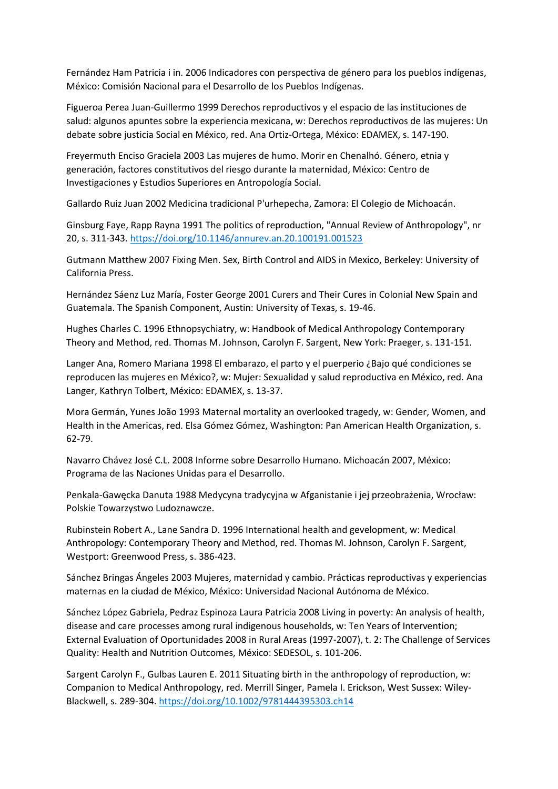Fernández Ham Patricia i in. 2006 Indicadores con perspectiva de género para los pueblos indígenas, México: Comisión Nacional para el Desarrollo de los Pueblos Indígenas.

Figueroa Perea Juan-Guillermo 1999 Derechos reproductivos y el espacio de las instituciones de salud: algunos apuntes sobre la experiencia mexicana, w: Derechos reproductivos de las mujeres: Un debate sobre justicia Social en México, red. Ana Ortiz-Ortega, México: EDAMEX, s. 147-190.

Freyermuth Enciso Graciela 2003 Las mujeres de humo. Morir en Chenalhó. Género, etnia y generación, factores constitutivos del riesgo durante la maternidad, México: Centro de Investigaciones y Estudios Superiores en Antropología Social.

Gallardo Ruiz Juan 2002 Medicina tradicional P'urhepecha, Zamora: El Colegio de Michoacán.

Ginsburg Faye, Rapp Rayna 1991 The politics of reproduction, "Annual Review of Anthropology", nr 20, s. 311-343. <https://doi.org/10.1146/annurev.an.20.100191.001523>

Gutmann Matthew 2007 Fixing Men. Sex, Birth Control and AIDS in Mexico, Berkeley: University of California Press.

Hernández Sáenz Luz María, Foster George 2001 Curers and Their Cures in Colonial New Spain and Guatemala. The Spanish Component, Austin: University of Texas, s. 19-46.

Hughes Charles C. 1996 Ethnopsychiatry, w: Handbook of Medical Anthropology Contemporary Theory and Method, red. Thomas M. Johnson, Carolyn F. Sargent, New York: Praeger, s. 131-151.

Langer Ana, Romero Mariana 1998 El embarazo, el parto y el puerperio ¿Bajo qué condiciones se reproducen las mujeres en México?, w: Mujer: Sexualidad y salud reproductiva en México, red. Ana Langer, Kathryn Tolbert, México: EDAMEX, s. 13-37.

Mora Germán, Yunes João 1993 Maternal mortality an overlooked tragedy, w: Gender, Women, and Health in the Americas, red. Elsa Gómez Gómez, Washington: Pan American Health Organization, s. 62-79.

Navarro Chávez José C.L. 2008 Informe sobre Desarrollo Humano. Michoacán 2007, México: Programa de las Naciones Unidas para el Desarrollo.

Penkala-Gawęcka Danuta 1988 Medycyna tradycyjna w Afganistanie i jej przeobrażenia, Wrocław: Polskie Towarzystwo Ludoznawcze.

Rubinstein Robert A., Lane Sandra D. 1996 International health and gevelopment, w: Medical Anthropology: Contemporary Theory and Method, red. Thomas M. Johnson, Carolyn F. Sargent, Westport: Greenwood Press, s. 386-423.

Sánchez Bringas Ángeles 2003 Mujeres, maternidad y cambio. Prácticas reproductivas y experiencias maternas en la ciudad de México, México: Universidad Nacional Autónoma de México.

Sánchez López Gabriela, Pedraz Espinoza Laura Patricia 2008 Living in poverty: An analysis of health, disease and care processes among rural indigenous households, w: Ten Years of Intervention; External Evaluation of Oportunidades 2008 in Rural Areas (1997-2007), t. 2: The Challenge of Services Quality: Health and Nutrition Outcomes, México: SEDESOL, s. 101-206.

Sargent Carolyn F., Gulbas Lauren E. 2011 Situating birth in the anthropology of reproduction, w: Companion to Medical Anthropology, red. Merrill Singer, Pamela I. Erickson, West Sussex: Wiley-Blackwell, s. 289-304. <https://doi.org/10.1002/9781444395303.ch14>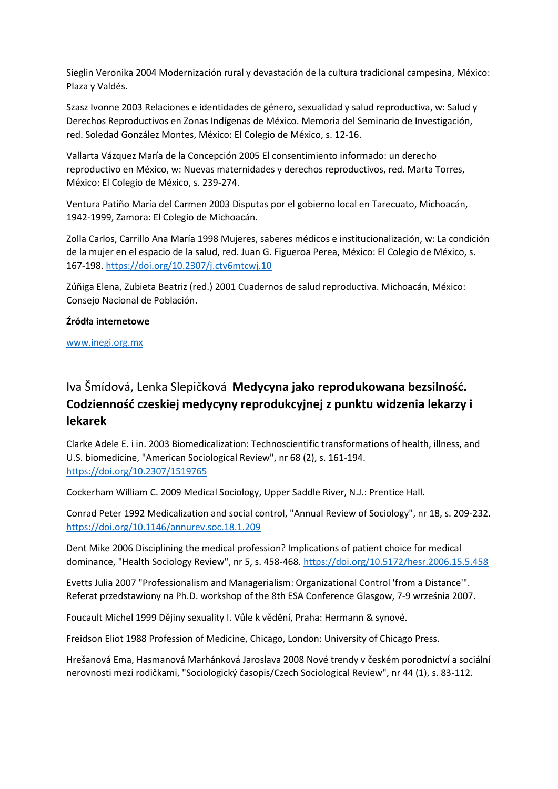Sieglin Veronika 2004 Modernización rural y devastación de la cultura tradicional campesina, México: Plaza y Valdés.

Szasz Ivonne 2003 Relaciones e identidades de género, sexualidad y salud reproductiva, w: Salud y Derechos Reproductivos en Zonas Indígenas de México. Memoria del Seminario de Investigación, red. Soledad González Montes, México: El Colegio de México, s. 12-16.

Vallarta Vázquez María de la Concepción 2005 El consentimiento informado: un derecho reproductivo en México, w: Nuevas maternidades y derechos reproductivos, red. Marta Torres, México: El Colegio de México, s. 239-274.

Ventura Patiño María del Carmen 2003 Disputas por el gobierno local en Tarecuato, Michoacán, 1942-1999, Zamora: El Colegio de Michoacán.

Zolla Carlos, Carrillo Ana María 1998 Mujeres, saberes médicos e institucionalización, w: La condición de la mujer en el espacio de la salud, red. Juan G. Figueroa Perea, México: El Colegio de México, s. 167-198. <https://doi.org/10.2307/j.ctv6mtcwj.10>

Zúñiga Elena, Zubieta Beatriz (red.) 2001 Cuadernos de salud reproductiva. Michoacán, México: Consejo Nacional de Población.

#### **Źródła internetowe**

[www.inegi.org.mx](http://www.inegi.org.mx/)

# Iva Šmídová, Lenka Slepičková **Medycyna jako reprodukowana bezsilność. Codzienność czeskiej medycyny reprodukcyjnej z punktu widzenia lekarzy i lekarek**

Clarke Adele E. i in. 2003 Biomedicalization: Technoscientific transformations of health, illness, and U.S. biomedicine, "American Sociological Review", nr 68 (2), s. 161-194. <https://doi.org/10.2307/1519765>

Cockerham William C. 2009 Medical Sociology, Upper Saddle River, N.J.: Prentice Hall.

Conrad Peter 1992 Medicalization and social control, "Annual Review of Sociology", nr 18, s. 209-232. <https://doi.org/10.1146/annurev.soc.18.1.209>

Dent Mike 2006 Disciplining the medical profession? Implications of patient choice for medical dominance, "Health Sociology Review", nr 5, s. 458-468. <https://doi.org/10.5172/hesr.2006.15.5.458>

Evetts Julia 2007 "Professionalism and Managerialism: Organizational Control 'from a Distance'". Referat przedstawiony na Ph.D. workshop of the 8th ESA Conference Glasgow, 7-9 września 2007.

Foucault Michel 1999 Dějiny sexuality I. Vůle k vědění, Praha: Hermann & synové.

Freidson Eliot 1988 Profession of Medicine, Chicago, London: University of Chicago Press.

Hrešanová Ema, Hasmanová Marhánková Jaroslava 2008 Nové trendy v českém porodnictví a sociální nerovnosti mezi rodičkami, "Sociologický časopis/Czech Sociological Review", nr 44 (1), s. 83-112.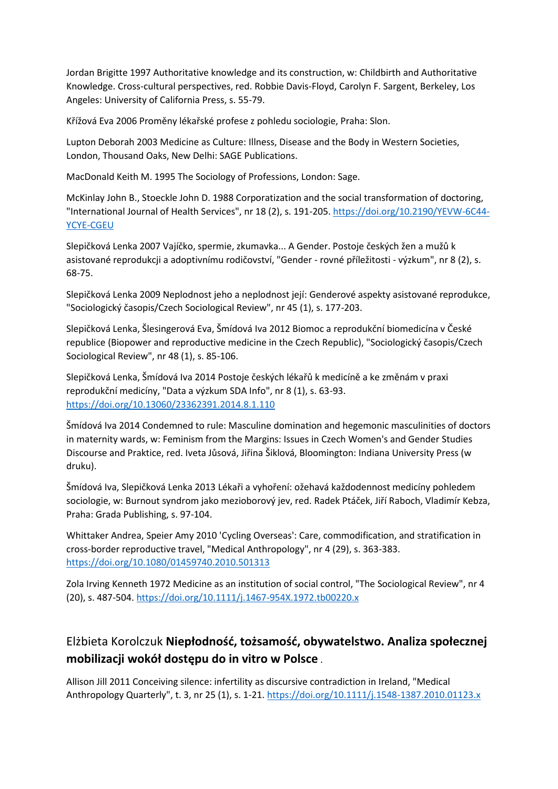Jordan Brigitte 1997 Authoritative knowledge and its construction, w: Childbirth and Authoritative Knowledge. Cross-cultural perspectives, red. Robbie Davis-Floyd, Carolyn F. Sargent, Berkeley, Los Angeles: University of California Press, s. 55-79.

Křížová Eva 2006 Proměny lékařské profese z pohledu sociologie, Praha: Slon.

Lupton Deborah 2003 Medicine as Culture: Illness, Disease and the Body in Western Societies, London, Thousand Oaks, New Delhi: SAGE Publications.

MacDonald Keith M. 1995 The Sociology of Professions, London: Sage.

McKinlay John B., Stoeckle John D. 1988 Corporatization and the social transformation of doctoring, "International Journal of Health Services", nr 18 (2), s. 191-205. [https://doi.org/10.2190/YEVW-6C44-](https://doi.org/10.2190/YEVW-6C44-YCYE-CGEU) [YCYE-CGEU](https://doi.org/10.2190/YEVW-6C44-YCYE-CGEU)

Slepičková Lenka 2007 Vajíčko, spermie, zkumavka... A Gender. Postoje českých žen a mužů k asistované reprodukcji a adoptivnímu rodičovství, "Gender - rovné příležitosti - výzkum", nr 8 (2), s. 68-75.

Slepičková Lenka 2009 Neplodnost jeho a neplodnost její: Genderové aspekty asistované reprodukce, "Sociologický časopis/Czech Sociological Review", nr 45 (1), s. 177-203.

Slepičková Lenka, Šlesingerová Eva, Šmídová Iva 2012 Biomoc a reprodukční biomedicína v České republice (Biopower and reproductive medicine in the Czech Republic), "Sociologický časopis/Czech Sociological Review", nr 48 (1), s. 85-106.

Slepičková Lenka, Šmídová Iva 2014 Postoje českých lékařů k medicíně a ke změnám v praxi reprodukční medicíny, "Data a výzkum SDA Info", nr 8 (1), s. 63-93. <https://doi.org/10.13060/23362391.2014.8.1.110>

Šmídová Iva 2014 Condemned to rule: Masculine domination and hegemonic masculinities of doctors in maternity wards, w: Feminism from the Margins: Issues in Czech Women's and Gender Studies Discourse and Praktice, red. Iveta Jůsová, Jiřina Šiklová, Bloomington: Indiana University Press (w druku).

Šmídová Iva, Slepičková Lenka 2013 Lékaři a vyhoření: ožehavá každodennost medicíny pohledem sociologie, w: Burnout syndrom jako mezioborový jev, red. Radek Ptáček, Jiří Raboch, Vladimír Kebza, Praha: Grada Publishing, s. 97-104.

Whittaker Andrea, Speier Amy 2010 'Cycling Overseas': Care, commodification, and stratification in cross-border reproductive travel, "Medical Anthropology", nr 4 (29), s. 363-383. <https://doi.org/10.1080/01459740.2010.501313>

Zola Irving Kenneth 1972 Medicine as an institution of social control, "The Sociological Review", nr 4 (20), s. 487-504. <https://doi.org/10.1111/j.1467-954X.1972.tb00220.x>

## Elżbieta Korolczuk **Niepłodność, tożsamość, obywatelstwo. Analiza społecznej mobilizacji wokół dostępu do in vitro w Polsce** .

Allison Jill 2011 Conceiving silence: infertility as discursive contradiction in Ireland, "Medical Anthropology Quarterly", t. 3, nr 25 (1), s. 1-21. <https://doi.org/10.1111/j.1548-1387.2010.01123.x>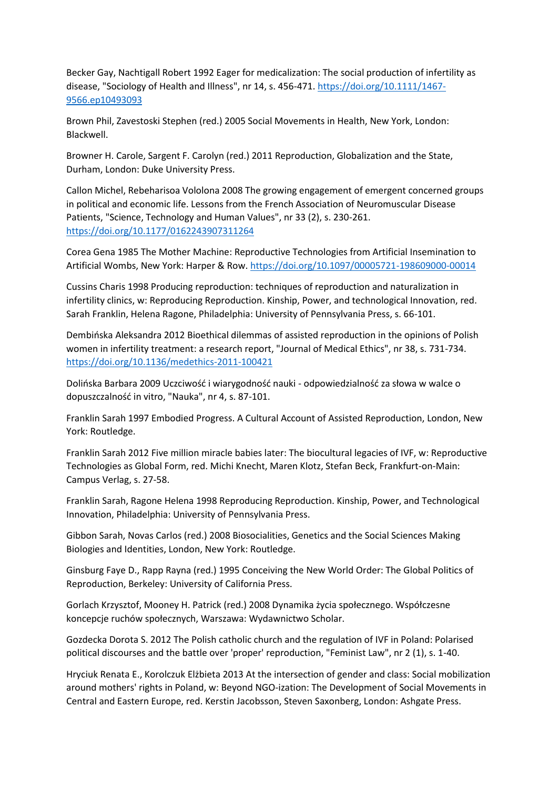Becker Gay, Nachtigall Robert 1992 Eager for medicalization: The social production of infertility as disease, "Sociology of Health and Illness", nr 14, s. 456-471. [https://doi.org/10.1111/1467-](https://doi.org/10.1111/1467-9566.ep10493093) [9566.ep10493093](https://doi.org/10.1111/1467-9566.ep10493093)

Brown Phil, Zavestoski Stephen (red.) 2005 Social Movements in Health, New York, London: Blackwell.

Browner H. Carole, Sargent F. Carolyn (red.) 2011 Reproduction, Globalization and the State, Durham, London: Duke University Press.

Callon Michel, Rebeharisoa Vololona 2008 The growing engagement of emergent concerned groups in political and economic life. Lessons from the French Association of Neuromuscular Disease Patients, "Science, Technology and Human Values", nr 33 (2), s. 230-261. <https://doi.org/10.1177/0162243907311264>

Corea Gena 1985 The Mother Machine: Reproductive Technologies from Artificial Insemination to Artificial Wombs, New York: Harper & Row. <https://doi.org/10.1097/00005721-198609000-00014>

Cussins Charis 1998 Producing reproduction: techniques of reproduction and naturalization in infertility clinics, w: Reproducing Reproduction. Kinship, Power, and technological Innovation, red. Sarah Franklin, Helena Ragone, Philadelphia: University of Pennsylvania Press, s. 66-101.

Dembińska Aleksandra 2012 Bioethical dilemmas of assisted reproduction in the opinions of Polish women in infertility treatment: a research report, "Journal of Medical Ethics", nr 38, s. 731-734. <https://doi.org/10.1136/medethics-2011-100421>

Dolińska Barbara 2009 Uczciwość i wiarygodność nauki - odpowiedzialność za słowa w walce o dopuszczalność in vitro, "Nauka", nr 4, s. 87-101.

Franklin Sarah 1997 Embodied Progress. A Cultural Account of Assisted Reproduction, London, New York: Routledge.

Franklin Sarah 2012 Five million miracle babies later: The biocultural legacies of IVF, w: Reproductive Technologies as Global Form, red. Michi Knecht, Maren Klotz, Stefan Beck, Frankfurt-on-Main: Campus Verlag, s. 27-58.

Franklin Sarah, Ragone Helena 1998 Reproducing Reproduction. Kinship, Power, and Technological Innovation, Philadelphia: University of Pennsylvania Press.

Gibbon Sarah, Novas Carlos (red.) 2008 Biosocialities, Genetics and the Social Sciences Making Biologies and Identities, London, New York: Routledge.

Ginsburg Faye D., Rapp Rayna (red.) 1995 Conceiving the New World Order: The Global Politics of Reproduction, Berkeley: University of California Press.

Gorlach Krzysztof, Mooney H. Patrick (red.) 2008 Dynamika życia społecznego. Współczesne koncepcje ruchów społecznych, Warszawa: Wydawnictwo Scholar.

Gozdecka Dorota S. 2012 The Polish catholic church and the regulation of IVF in Poland: Polarised political discourses and the battle over 'proper' reproduction, "Feminist Law", nr 2 (1), s. 1-40.

Hryciuk Renata E., Korolczuk Elżbieta 2013 At the intersection of gender and class: Social mobilization around mothers' rights in Poland, w: Beyond NGO-ization: The Development of Social Movements in Central and Eastern Europe, red. Kerstin Jacobsson, Steven Saxonberg, London: Ashgate Press.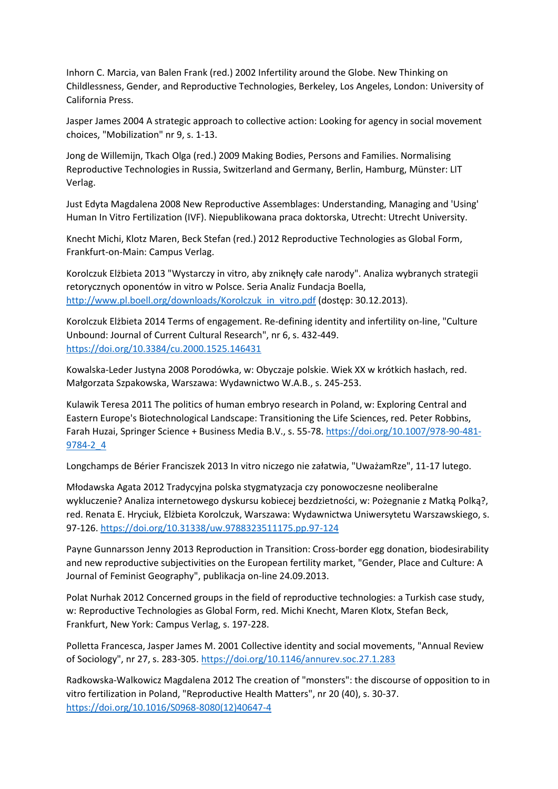Inhorn C. Marcia, van Balen Frank (red.) 2002 Infertility around the Globe. New Thinking on Childlessness, Gender, and Reproductive Technologies, Berkeley, Los Angeles, London: University of California Press.

Jasper James 2004 A strategic approach to collective action: Looking for agency in social movement choices, "Mobilization" nr 9, s. 1-13.

Jong de Willemijn, Tkach Olga (red.) 2009 Making Bodies, Persons and Families. Normalising Reproductive Technologies in Russia, Switzerland and Germany, Berlin, Hamburg, Münster: LIT Verlag.

Just Edyta Magdalena 2008 New Reproductive Assemblages: Understanding, Managing and 'Using' Human In Vitro Fertilization (IVF). Niepublikowana praca doktorska, Utrecht: Utrecht University.

Knecht Michi, Klotz Maren, Beck Stefan (red.) 2012 Reproductive Technologies as Global Form, Frankfurt-on-Main: Campus Verlag.

Korolczuk Elżbieta 2013 "Wystarczy in vitro, aby zniknęły całe narody". Analiza wybranych strategii retorycznych oponentów in vitro w Polsce. Seria Analiz Fundacja Boella, [http://www.pl.boell.org/downloads/Korolczuk\\_in\\_vitro.pdf](http://www.pl.boell.org/downloads/Korolczuk_in_vitro.pdf) (dostęp: 30.12.2013).

Korolczuk Elżbieta 2014 Terms of engagement. Re-defining identity and infertility on-line, "Culture Unbound: Journal of Current Cultural Research", nr 6, s. 432-449. <https://doi.org/10.3384/cu.2000.1525.146431>

Kowalska-Leder Justyna 2008 Porodówka, w: Obyczaje polskie. Wiek XX w krótkich hasłach, red. Małgorzata Szpakowska, Warszawa: Wydawnictwo W.A.B., s. 245-253.

Kulawik Teresa 2011 The politics of human embryo research in Poland, w: Exploring Central and Eastern Europe's Biotechnological Landscape: Transitioning the Life Sciences, red. Peter Robbins, Farah Huzai, Springer Science + Business Media B.V., s. 55-78. [https://doi.org/10.1007/978-90-481-](https://doi.org/10.1007/978-90-481-9784-2_4) [9784-2\\_4](https://doi.org/10.1007/978-90-481-9784-2_4)

Longchamps de Bérier Franciszek 2013 In vitro niczego nie załatwia, "UważamRze", 11-17 lutego.

Młodawska Agata 2012 Tradycyjna polska stygmatyzacja czy ponowoczesne neoliberalne wykluczenie? Analiza internetowego dyskursu kobiecej bezdzietności, w: Pożegnanie z Matką Polką?, red. Renata E. Hryciuk, Elżbieta Korolczuk, Warszawa: Wydawnictwa Uniwersytetu Warszawskiego, s. 97-126. <https://doi.org/10.31338/uw.9788323511175.pp.97-124>

Payne Gunnarsson Jenny 2013 Reproduction in Transition: Cross-border egg donation, biodesirability and new reproductive subjectivities on the European fertility market, "Gender, Place and Culture: A Journal of Feminist Geography", publikacja on-line 24.09.2013.

Polat Nurhak 2012 Concerned groups in the field of reproductive technologies: a Turkish case study, w: Reproductive Technologies as Global Form, red. Michi Knecht, Maren Klotx, Stefan Beck, Frankfurt, New York: Campus Verlag, s. 197-228.

Polletta Francesca, Jasper James M. 2001 Collective identity and social movements, "Annual Review of Sociology", nr 27, s. 283-305. <https://doi.org/10.1146/annurev.soc.27.1.283>

Radkowska-Walkowicz Magdalena 2012 The creation of "monsters": the discourse of opposition to in vitro fertilization in Poland, "Reproductive Health Matters", nr 20 (40), s. 30-37. [https://doi.org/10.1016/S0968-8080\(12\)40647-4](https://doi.org/10.1016/S0968-8080(12)40647-4)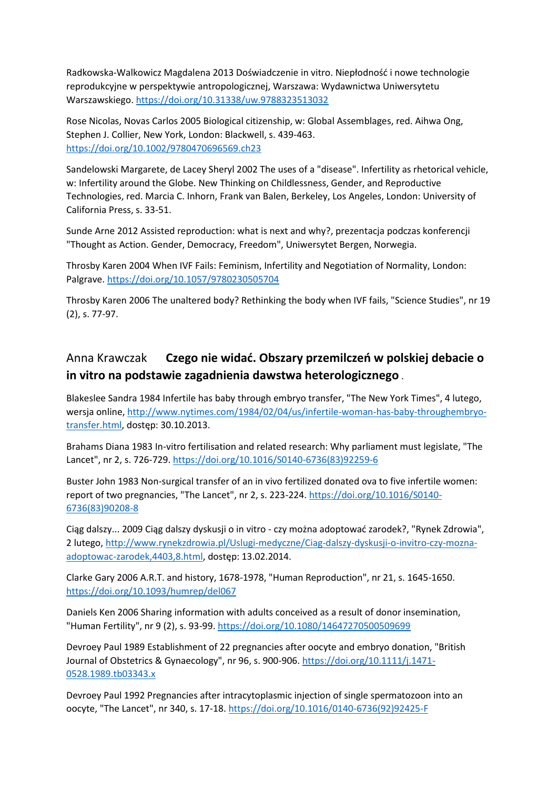Radkowska-Walkowicz Magdalena 2013 Doświadczenie in vitro. Niepłodność i nowe technologie reprodukcyjne w perspektywie antropologicznej, Warszawa: Wydawnictwa Uniwersytetu Warszawskiego. <https://doi.org/10.31338/uw.9788323513032>

Rose Nicolas, Novas Carlos 2005 Biological citizenship, w: Global Assemblages, red. Aihwa Ong, Stephen J. Collier, New York, London: Blackwell, s. 439-463. <https://doi.org/10.1002/9780470696569.ch23>

Sandelowski Margarete, de Lacey Sheryl 2002 The uses of a "disease". Infertility as rhetorical vehicle, w: Infertility around the Globe. New Thinking on Childlessness, Gender, and Reproductive Technologies, red. Marcia C. Inhorn, Frank van Balen, Berkeley, Los Angeles, London: University of California Press, s. 33-51.

Sunde Arne 2012 Assisted reproduction: what is next and why?, prezentacja podczas konferencji "Thought as Action. Gender, Democracy, Freedom", Uniwersytet Bergen, Norwegia.

Throsby Karen 2004 When IVF Fails: Feminism, Infertility and Negotiation of Normality, London: Palgrave. <https://doi.org/10.1057/9780230505704>

Throsby Karen 2006 The unaltered body? Rethinking the body when IVF fails, "Science Studies", nr 19 (2), s. 77-97.

#### Anna Krawczak **Czego nie widać. Obszary przemilczeń w polskiej debacie o in vitro na podstawie zagadnienia dawstwa heterologicznego** .

Blakeslee Sandra 1984 Infertile has baby through embryo transfer, "The New York Times", 4 lutego, wersja online, [http://www.nytimes.com/1984/02/04/us/infertile-woman-has-baby-throughembryo](http://www.nytimes.com/1984/02/04/us/infertile-woman-has-baby-throughembryo-transfer.html)[transfer.html,](http://www.nytimes.com/1984/02/04/us/infertile-woman-has-baby-throughembryo-transfer.html) dostęp: 30.10.2013.

Brahams Diana 1983 In-vitro fertilisation and related research: Why parliament must legislate, "The Lancet", nr 2, s. 726-729. [https://doi.org/10.1016/S0140-6736\(83\)92259-6](https://doi.org/10.1016/S0140-6736(83)92259-6)

Buster John 1983 Non-surgical transfer of an in vivo fertilized donated ova to five infertile women: report of two pregnancies, "The Lancet", nr 2, s. 223-224. [https://doi.org/10.1016/S0140-](https://doi.org/10.1016/S0140-6736(83)90208-8) [6736\(83\)90208-8](https://doi.org/10.1016/S0140-6736(83)90208-8)

Ciąg dalszy... 2009 Ciąg dalszy dyskusji o in vitro - czy można adoptować zarodek?, "Rynek Zdrowia", 2 lutego[, http://www.rynekzdrowia.pl/Uslugi-medyczne/Ciag-dalszy-dyskusji-o-invitro-czy-mozna](http://www.rynekzdrowia.pl/Uslugi-medyczne/Ciag-dalszy-dyskusji-o-invitro-czy-mozna-adoptowac-zarodek,4403,8.html)[adoptowac-zarodek,4403,8.html,](http://www.rynekzdrowia.pl/Uslugi-medyczne/Ciag-dalszy-dyskusji-o-invitro-czy-mozna-adoptowac-zarodek,4403,8.html) dostęp: 13.02.2014.

Clarke Gary 2006 A.R.T. and history, 1678-1978, "Human Reproduction", nr 21, s. 1645-1650. <https://doi.org/10.1093/humrep/del067>

Daniels Ken 2006 Sharing information with adults conceived as a result of donor insemination, "Human Fertility", nr 9 (2), s. 93-99. <https://doi.org/10.1080/14647270500509699>

Devroey Paul 1989 Establishment of 22 pregnancies after oocyte and embryo donation, "British Journal of Obstetrics & Gynaecology", nr 96, s. 900-906. [https://doi.org/10.1111/j.1471-](https://doi.org/10.1111/j.1471-0528.1989.tb03343.x) [0528.1989.tb03343.x](https://doi.org/10.1111/j.1471-0528.1989.tb03343.x)

Devroey Paul 1992 Pregnancies after intracytoplasmic injection of single spermatozoon into an oocyte, "The Lancet", nr 340, s. 17-18. [https://doi.org/10.1016/0140-6736\(92\)92425-F](https://doi.org/10.1016/0140-6736(92)92425-F)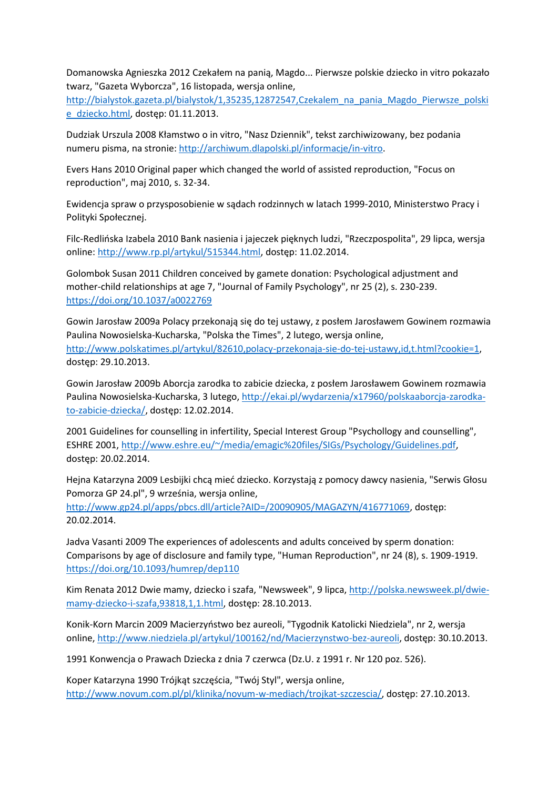Domanowska Agnieszka 2012 Czekałem na panią, Magdo... Pierwsze polskie dziecko in vitro pokazało twarz, "Gazeta Wyborcza", 16 listopada, wersja online,

[http://bialystok.gazeta.pl/bialystok/1,35235,12872547,Czekalem\\_na\\_pania\\_Magdo\\_Pierwsze\\_polski](http://bialystok.gazeta.pl/bialystok/1,35235,12872547,Czekalem_na_pania_Magdo_Pierwsze_polskie_dziecko.html) [e\\_dziecko.html,](http://bialystok.gazeta.pl/bialystok/1,35235,12872547,Czekalem_na_pania_Magdo_Pierwsze_polskie_dziecko.html) dostęp: 01.11.2013.

Dudziak Urszula 2008 Kłamstwo o in vitro, "Nasz Dziennik", tekst zarchiwizowany, bez podania numeru pisma, na stronie: [http://archiwum.dlapolski.pl/informacje/in-vitro.](http://archiwum.dlapolski.pl/informacje/in-vitro)

Evers Hans 2010 Original paper which changed the world of assisted reproduction, "Focus on reproduction", maj 2010, s. 32-34.

Ewidencja spraw o przysposobienie w sądach rodzinnych w latach 1999-2010, Ministerstwo Pracy i Polityki Społecznej.

Filc-Redlińska Izabela 2010 Bank nasienia i jajeczek pięknych ludzi, "Rzeczpospolita", 29 lipca, wersja online: [http://www.rp.pl/artykul/515344.html,](http://www.rp.pl/artykul/515344.html) dostęp: 11.02.2014.

Golombok Susan 2011 Children conceived by gamete donation: Psychological adjustment and mother-child relationships at age 7, "Journal of Family Psychology", nr 25 (2), s. 230-239. <https://doi.org/10.1037/a0022769>

Gowin Jarosław 2009a Polacy przekonają się do tej ustawy, z posłem Jarosławem Gowinem rozmawia Paulina Nowosielska-Kucharska, "Polska the Times", 2 lutego, wersja online, [http://www.polskatimes.pl/artykul/82610,polacy-przekonaja-sie-do-tej-ustawy,id,t.html?cookie=1,](http://www.polskatimes.pl/artykul/82610,polacy-przekonaja-sie-do-tej-ustawy,id,t.html?cookie=1) dostęp: 29.10.2013.

Gowin Jarosław 2009b Aborcja zarodka to zabicie dziecka, z posłem Jarosławem Gowinem rozmawia Paulina Nowosielska-Kucharska, 3 lutego, [http://ekai.pl/wydarzenia/x17960/polskaaborcja-zarodka](http://ekai.pl/wydarzenia/x17960/polskaaborcja-zarodka-to-zabicie-dziecka/)[to-zabicie-dziecka/,](http://ekai.pl/wydarzenia/x17960/polskaaborcja-zarodka-to-zabicie-dziecka/) dostęp: 12.02.2014.

2001 Guidelines for counselling in infertility, Special Interest Group "Psychollogy and counselling", ESHRE 2001[, http://www.eshre.eu/~/media/emagic%20files/SIGs/Psychology/Guidelines.pdf,](http://www.eshre.eu/~/media/emagic%20files/SIGs/Psychology/Guidelines.pdf) dostęp: 20.02.2014.

Hejna Katarzyna 2009 Lesbijki chcą mieć dziecko. Korzystają z pomocy dawcy nasienia, "Serwis Głosu Pomorza GP 24.pl", 9 września, wersja online, [http://www.gp24.pl/apps/pbcs.dll/article?AID=/20090905/MAGAZYN/416771069,](http://www.gp24.pl/apps/pbcs.dll/article?AID=/20090905/MAGAZYN/416771069) dostęp:

Jadva Vasanti 2009 The experiences of adolescents and adults conceived by sperm donation: Comparisons by age of disclosure and family type, "Human Reproduction", nr 24 (8), s. 1909-1919. <https://doi.org/10.1093/humrep/dep110>

Kim Renata 2012 Dwie mamy, dziecko i szafa, "Newsweek", 9 lipca[, http://polska.newsweek.pl/dwie](http://polska.newsweek.pl/dwie-mamy-dziecko-i-szafa,93818,1,1.html)[mamy-dziecko-i-szafa,93818,1,1.html,](http://polska.newsweek.pl/dwie-mamy-dziecko-i-szafa,93818,1,1.html) dostęp: 28.10.2013.

Konik-Korn Marcin 2009 Macierzyństwo bez aureoli, "Tygodnik Katolicki Niedziela", nr 2, wersja online, [http://www.niedziela.pl/artykul/100162/nd/Macierzynstwo-bez-aureoli,](http://www.niedziela.pl/artykul/100162/nd/Macierzynstwo-bez-aureoli) dostęp: 30.10.2013.

1991 Konwencja o Prawach Dziecka z dnia 7 czerwca (Dz.U. z 1991 r. Nr 120 poz. 526).

20.02.2014.

Koper Katarzyna 1990 Trójkąt szczęścia, "Twój Styl", wersja online, [http://www.novum.com.pl/pl/klinika/novum-w-mediach/trojkat-szczescia/,](http://www.novum.com.pl/pl/klinika/novum-w-mediach/trojkat-szczescia/) dostęp: 27.10.2013.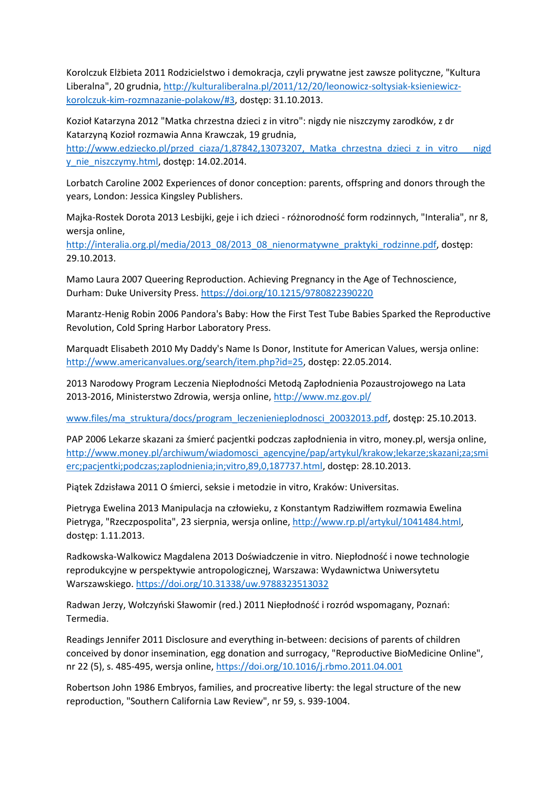Korolczuk Elżbieta 2011 Rodzicielstwo i demokracja, czyli prywatne jest zawsze polityczne, "Kultura Liberalna", 20 grudnia[, http://kulturaliberalna.pl/2011/12/20/leonowicz-soltysiak-ksieniewicz](http://kulturaliberalna.pl/2011/12/20/leonowicz-soltysiak-ksieniewicz-korolczuk-kim-rozmnazanie-polakow/#3)[korolczuk-kim-rozmnazanie-polakow/#3,](http://kulturaliberalna.pl/2011/12/20/leonowicz-soltysiak-ksieniewicz-korolczuk-kim-rozmnazanie-polakow/#3) dostęp: 31.10.2013.

Kozioł Katarzyna 2012 "Matka chrzestna dzieci z in vitro": nigdy nie niszczymy zarodków, z dr Katarzyną Kozioł rozmawia Anna Krawczak, 19 grudnia,

http://www.edziecko.pl/przed\_ciaza/1,87842,13073207, Matka\_chrzestna\_dzieci\_z\_in\_vitro\_\_\_nigd [y\\_nie\\_niszczymy.html,](http://www.edziecko.pl/przed_ciaza/1,87842,13073207,_Matka_chrzestna_dzieci_z_in_vitro___nigdy_nie_niszczymy.html) dostęp: 14.02.2014.

Lorbatch Caroline 2002 Experiences of donor conception: parents, offspring and donors through the years, London: Jessica Kingsley Publishers.

Majka-Rostek Dorota 2013 Lesbijki, geje i ich dzieci - różnorodność form rodzinnych, "Interalia", nr 8, wersja online,

[http://interalia.org.pl/media/2013\\_08/2013\\_08\\_nienormatywne\\_praktyki\\_rodzinne.pdf,](http://interalia.org.pl/media/2013_08/2013_08_nienormatywne_praktyki_rodzinne.pdf) dostęp: 29.10.2013.

Mamo Laura 2007 Queering Reproduction. Achieving Pregnancy in the Age of Technoscience, Durham: Duke University Press. <https://doi.org/10.1215/9780822390220>

Marantz-Henig Robin 2006 Pandora's Baby: How the First Test Tube Babies Sparked the Reproductive Revolution, Cold Spring Harbor Laboratory Press.

Marquadt Elisabeth 2010 My Daddy's Name Is Donor, Institute for American Values, wersja online: [http://www.americanvalues.org/search/item.php?id=25,](http://www.americanvalues.org/search/item.php?id=25) dostęp: 22.05.2014.

2013 Narodowy Program Leczenia Niepłodności Metodą Zapłodnienia Pozaustrojowego na Lata 2013-2016, Ministerstwo Zdrowia, wersja online,<http://www.mz.gov.pl/>

[www.files/ma\\_struktura/docs/program\\_leczenienieplodnosci\\_20032013.pdf,](http://www.files/ma_struktura/docs/program_leczenienieplodnosci_20032013.pdf) dostęp: 25.10.2013.

PAP 2006 Lekarze skazani za śmierć pacjentki podczas zapłodnienia in vitro, money.pl, wersja online, [http://www.money.pl/archiwum/wiadomosci\\_agencyjne/pap/artykul/krakow;lekarze;skazani;za;smi](http://www.money.pl/archiwum/wiadomosci_agencyjne/pap/artykul/krakow;lekarze;skazani;za;smierc;pacjentki;podczas;zaplodnienia;in;vitro,89,0,187737.html) [erc;pacjentki;podczas;zaplodnienia;in;vitro,89,0,187737.html,](http://www.money.pl/archiwum/wiadomosci_agencyjne/pap/artykul/krakow;lekarze;skazani;za;smierc;pacjentki;podczas;zaplodnienia;in;vitro,89,0,187737.html) dostęp: 28.10.2013.

Piątek Zdzisława 2011 O śmierci, seksie i metodzie in vitro, Kraków: Universitas.

Pietryga Ewelina 2013 Manipulacja na człowieku, z Konstantym Radziwiłłem rozmawia Ewelina Pietryga, "Rzeczpospolita", 23 sierpnia, wersja online, [http://www.rp.pl/artykul/1041484.html,](http://www.rp.pl/artykul/1041484.html) dostęp: 1.11.2013.

Radkowska-Walkowicz Magdalena 2013 Doświadczenie in vitro. Niepłodność i nowe technologie reprodukcyjne w perspektywie antropologicznej, Warszawa: Wydawnictwa Uniwersytetu Warszawskiego. <https://doi.org/10.31338/uw.9788323513032>

Radwan Jerzy, Wołczyński Sławomir (red.) 2011 Niepłodność i rozród wspomagany, Poznań: Termedia.

Readings Jennifer 2011 Disclosure and everything in-between: decisions of parents of children conceived by donor insemination, egg donation and surrogacy, "Reproductive BioMedicine Online", nr 22 (5), s. 485-495, wersja online[, https://doi.org/10.1016/j.rbmo.2011.04.001](https://doi.org/10.1016/j.rbmo.2011.04.001)

Robertson John 1986 Embryos, families, and procreative liberty: the legal structure of the new reproduction, "Southern California Law Review", nr 59, s. 939-1004.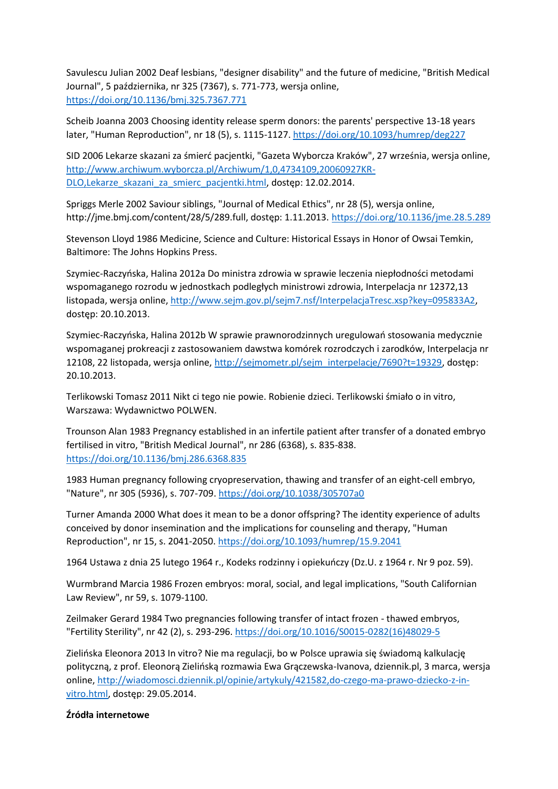Savulescu Julian 2002 Deaf lesbians, "designer disability" and the future of medicine, "British Medical Journal", 5 października, nr 325 (7367), s. 771-773, wersja online, <https://doi.org/10.1136/bmj.325.7367.771>

Scheib Joanna 2003 Choosing identity release sperm donors: the parents' perspective 13-18 years later, "Human Reproduction", nr 18 (5), s. 1115-1127. <https://doi.org/10.1093/humrep/deg227>

SID 2006 Lekarze skazani za śmierć pacjentki, "Gazeta Wyborcza Kraków", 27 września, wersja online, [http://www.archiwum.wyborcza.pl/Archiwum/1,0,4734109,20060927KR-](http://www.archiwum.wyborcza.pl/Archiwum/1,0,4734109,20060927KR-DLO,Lekarze_skazani_za_smierc_pacjentki.html)DLO,Lekarze skazani za smierc pacjentki.html, dostęp: 12.02.2014.

Spriggs Merle 2002 Saviour siblings, "Journal of Medical Ethics", nr 28 (5), wersja online, http://jme.bmj.com/content/28/5/289.full, dostęp: 1.11.2013. <https://doi.org/10.1136/jme.28.5.289>

Stevenson Lloyd 1986 Medicine, Science and Culture: Historical Essays in Honor of Owsai Temkin, Baltimore: The Johns Hopkins Press.

Szymiec-Raczyńska, Halina 2012a Do ministra zdrowia w sprawie leczenia niepłodności metodami wspomaganego rozrodu w jednostkach podległych ministrowi zdrowia, Interpelacja nr 12372,13 listopada, wersja online, [http://www.sejm.gov.pl/sejm7.nsf/InterpelacjaTresc.xsp?key=095833A2,](http://www.sejm.gov.pl/sejm7.nsf/InterpelacjaTresc.xsp?key=095833A2) dostęp: 20.10.2013.

Szymiec-Raczyńska, Halina 2012b W sprawie prawnorodzinnych uregulowań stosowania medycznie wspomaganej prokreacji z zastosowaniem dawstwa komórek rozrodczych i zarodków, Interpelacja nr 12108, 22 listopada, wersja online[, http://sejmometr.pl/sejm\\_interpelacje/7690?t=19329,](http://sejmometr.pl/sejm_interpelacje/7690?t=19329) dostęp: 20.10.2013.

Terlikowski Tomasz 2011 Nikt ci tego nie powie. Robienie dzieci. Terlikowski śmiało o in vitro, Warszawa: Wydawnictwo POLWEN.

Trounson Alan 1983 Pregnancy established in an infertile patient after transfer of a donated embryo fertilised in vitro, "British Medical Journal", nr 286 (6368), s. 835-838. <https://doi.org/10.1136/bmj.286.6368.835>

1983 Human pregnancy following cryopreservation, thawing and transfer of an eight-cell embryo, "Nature", nr 305 (5936), s. 707-709. <https://doi.org/10.1038/305707a0>

Turner Amanda 2000 What does it mean to be a donor offspring? The identity experience of adults conceived by donor insemination and the implications for counseling and therapy, "Human Reproduction", nr 15, s. 2041-2050. <https://doi.org/10.1093/humrep/15.9.2041>

1964 Ustawa z dnia 25 lutego 1964 r., Kodeks rodzinny i opiekuńczy (Dz.U. z 1964 r. Nr 9 poz. 59).

Wurmbrand Marcia 1986 Frozen embryos: moral, social, and legal implications, "South Californian Law Review", nr 59, s. 1079-1100.

Zeilmaker Gerard 1984 Two pregnancies following transfer of intact frozen - thawed embryos, "Fertility Sterility", nr 42 (2), s. 293-296. [https://doi.org/10.1016/S0015-0282\(16\)48029-5](https://doi.org/10.1016/S0015-0282(16)48029-5)

Zielińska Eleonora 2013 In vitro? Nie ma regulacji, bo w Polsce uprawia się świadomą kalkulację polityczną, z prof. Eleonorą Zielińską rozmawia Ewa Grączewska-Ivanova, dziennik.pl, 3 marca, wersja online, [http://wiadomosci.dziennik.pl/opinie/artykuly/421582,do-czego-ma-prawo-dziecko-z-in](http://wiadomosci.dziennik.pl/opinie/artykuly/421582,do-czego-ma-prawo-dziecko-z-in-vitro.html)[vitro.html,](http://wiadomosci.dziennik.pl/opinie/artykuly/421582,do-czego-ma-prawo-dziecko-z-in-vitro.html) dostęp: 29.05.2014.

#### **Źródła internetowe**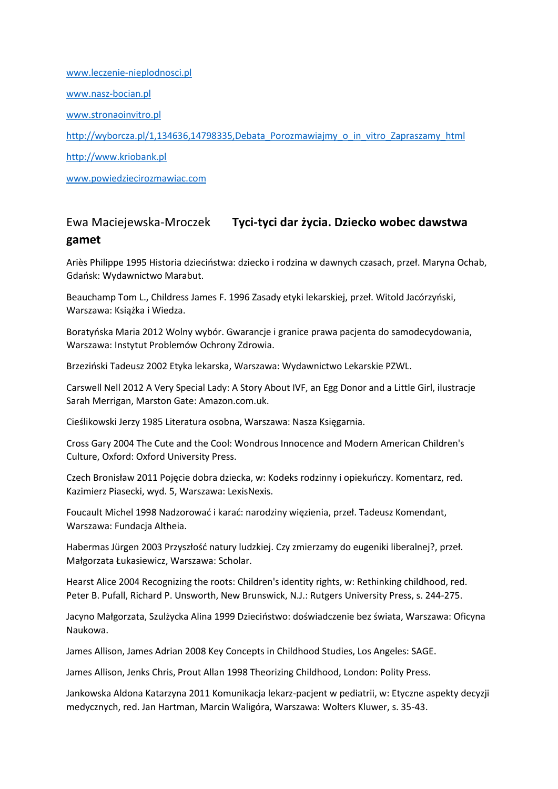[www.leczenie-nieplodnosci.pl](http://www.leczenie-nieplodnosci.pl/) [www.nasz-bocian.pl](http://www.nasz-bocian.pl/) [www.stronaoinvitro.pl](http://www.stronaoinvitro.pl/) [http://wyborcza.pl/1,134636,14798335,Debata\\_Porozmawiajmy\\_o\\_in\\_vitro\\_Zapraszamy\\_html](http://wyborcza.pl/1,134636,14798335,Debata_Porozmawiajmy_o_in_vitro_Zapraszamy_html) [http://www.kriobank.pl](http://www.kriobank.pl/) [www.powiedziecirozmawiac.com](http://www.powiedziecirozmawiac.com/)

# Ewa Maciejewska-Mroczek **Tyci-tyci dar życia. Dziecko wobec dawstwa gamet**

Ariès Philippe 1995 Historia dzieciństwa: dziecko i rodzina w dawnych czasach, przeł. Maryna Ochab, Gdańsk: Wydawnictwo Marabut.

Beauchamp Tom L., Childress James F. 1996 Zasady etyki lekarskiej, przeł. Witold Jacórzyński, Warszawa: Książka i Wiedza.

Boratyńska Maria 2012 Wolny wybór. Gwarancje i granice prawa pacjenta do samodecydowania, Warszawa: Instytut Problemów Ochrony Zdrowia.

Brzeziński Tadeusz 2002 Etyka lekarska, Warszawa: Wydawnictwo Lekarskie PZWL.

Carswell Nell 2012 A Very Special Lady: A Story About IVF, an Egg Donor and a Little Girl, ilustracje Sarah Merrigan, Marston Gate: Amazon.com.uk.

Cieślikowski Jerzy 1985 Literatura osobna, Warszawa: Nasza Księgarnia.

Cross Gary 2004 The Cute and the Cool: Wondrous Innocence and Modern American Children's Culture, Oxford: Oxford University Press.

Czech Bronisław 2011 Pojęcie dobra dziecka, w: Kodeks rodzinny i opiekuńczy. Komentarz, red. Kazimierz Piasecki, wyd. 5, Warszawa: LexisNexis.

Foucault Michel 1998 Nadzorować i karać: narodziny więzienia, przeł. Tadeusz Komendant, Warszawa: Fundacja Altheia.

Habermas Jürgen 2003 Przyszłość natury ludzkiej. Czy zmierzamy do eugeniki liberalnej?, przeł. Małgorzata Łukasiewicz, Warszawa: Scholar.

Hearst Alice 2004 Recognizing the roots: Children's identity rights, w: Rethinking childhood, red. Peter B. Pufall, Richard P. Unsworth, New Brunswick, N.J.: Rutgers University Press, s. 244-275.

Jacyno Małgorzata, Szulżycka Alina 1999 Dzieciństwo: doświadczenie bez świata, Warszawa: Oficyna Naukowa.

James Allison, James Adrian 2008 Key Concepts in Childhood Studies, Los Angeles: SAGE.

James Allison, Jenks Chris, Prout Allan 1998 Theorizing Childhood, London: Polity Press.

Jankowska Aldona Katarzyna 2011 Komunikacja lekarz-pacjent w pediatrii, w: Etyczne aspekty decyzji medycznych, red. Jan Hartman, Marcin Waligóra, Warszawa: Wolters Kluwer, s. 35-43.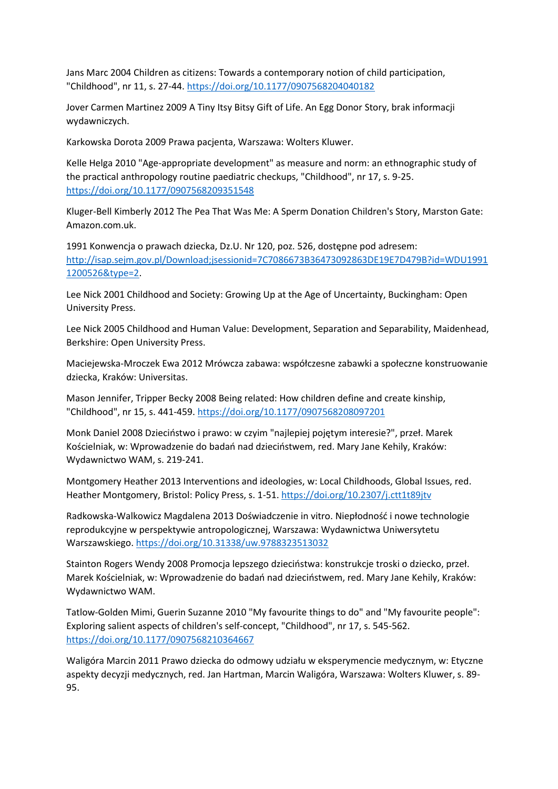Jans Marc 2004 Children as citizens: Towards a contemporary notion of child participation, "Childhood", nr 11, s. 27-44. <https://doi.org/10.1177/0907568204040182>

Jover Carmen Martinez 2009 A Tiny Itsy Bitsy Gift of Life. An Egg Donor Story, brak informacji wydawniczych.

Karkowska Dorota 2009 Prawa pacjenta, Warszawa: Wolters Kluwer.

Kelle Helga 2010 "Age-appropriate development" as measure and norm: an ethnographic study of the practical anthropology routine paediatric checkups, "Childhood", nr 17, s. 9-25. <https://doi.org/10.1177/0907568209351548>

Kluger-Bell Kimberly 2012 The Pea That Was Me: A Sperm Donation Children's Story, Marston Gate: Amazon.com.uk.

1991 Konwencja o prawach dziecka, Dz.U. Nr 120, poz. 526, dostępne pod adresem: [http://isap.sejm.gov.pl/Download;jsessionid=7C7086673B36473092863DE19E7D479B?id=WDU1991](http://isap.sejm.gov.pl/Download;jsessionid=7C7086673B36473092863DE19E7D479B?id=WDU19911200526&type=2) [1200526&type=2.](http://isap.sejm.gov.pl/Download;jsessionid=7C7086673B36473092863DE19E7D479B?id=WDU19911200526&type=2)

Lee Nick 2001 Childhood and Society: Growing Up at the Age of Uncertainty, Buckingham: Open University Press.

Lee Nick 2005 Childhood and Human Value: Development, Separation and Separability, Maidenhead, Berkshire: Open University Press.

Maciejewska-Mroczek Ewa 2012 Mrówcza zabawa: współczesne zabawki a społeczne konstruowanie dziecka, Kraków: Universitas.

Mason Jennifer, Tripper Becky 2008 Being related: How children define and create kinship, "Childhood", nr 15, s. 441-459. <https://doi.org/10.1177/0907568208097201>

Monk Daniel 2008 Dzieciństwo i prawo: w czyim "najlepiej pojętym interesie?", przeł. Marek Kościelniak, w: Wprowadzenie do badań nad dzieciństwem, red. Mary Jane Kehily, Kraków: Wydawnictwo WAM, s. 219-241.

Montgomery Heather 2013 Interventions and ideologies, w: Local Childhoods, Global Issues, red. Heather Montgomery, Bristol: Policy Press, s. 1-51. <https://doi.org/10.2307/j.ctt1t89jtv>

Radkowska-Walkowicz Magdalena 2013 Doświadczenie in vitro. Niepłodność i nowe technologie reprodukcyjne w perspektywie antropologicznej, Warszawa: Wydawnictwa Uniwersytetu Warszawskiego. <https://doi.org/10.31338/uw.9788323513032>

Stainton Rogers Wendy 2008 Promocja lepszego dzieciństwa: konstrukcje troski o dziecko, przeł. Marek Kościelniak, w: Wprowadzenie do badań nad dzieciństwem, red. Mary Jane Kehily, Kraków: Wydawnictwo WAM.

Tatlow-Golden Mimi, Guerin Suzanne 2010 "My favourite things to do" and "My favourite people": Exploring salient aspects of children's self-concept, "Childhood", nr 17, s. 545-562. <https://doi.org/10.1177/0907568210364667>

Waligóra Marcin 2011 Prawo dziecka do odmowy udziału w eksperymencie medycznym, w: Etyczne aspekty decyzji medycznych, red. Jan Hartman, Marcin Waligóra, Warszawa: Wolters Kluwer, s. 89- 95.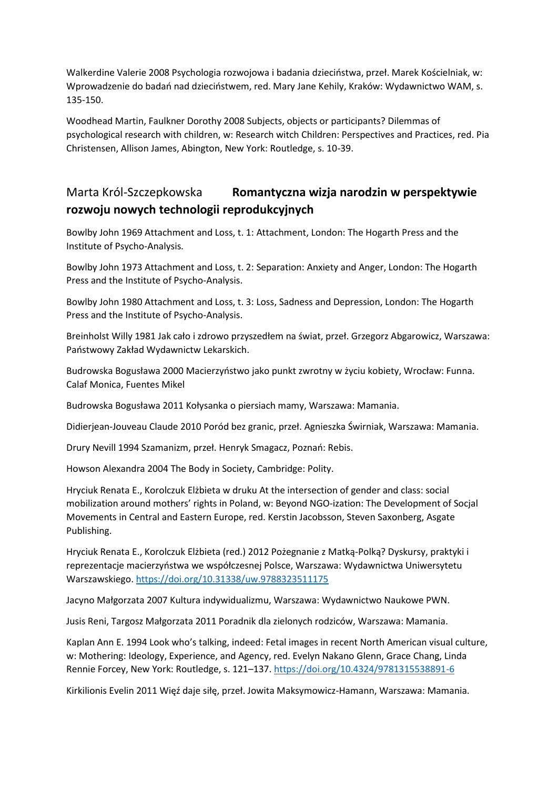Walkerdine Valerie 2008 Psychologia rozwojowa i badania dzieciństwa, przeł. Marek Kościelniak, w: Wprowadzenie do badań nad dzieciństwem, red. Mary Jane Kehily, Kraków: Wydawnictwo WAM, s. 135-150.

Woodhead Martin, Faulkner Dorothy 2008 Subjects, objects or participants? Dilemmas of psychological research with children, w: Research witch Children: Perspectives and Practices, red. Pia Christensen, Allison James, Abington, New York: Routledge, s. 10-39.

### Marta Król-Szczepkowska **Romantyczna wizja narodzin w perspektywie rozwoju nowych technologii reprodukcyjnych**

Bowlby John 1969 Attachment and Loss, t. 1: Attachment, London: The Hogarth Press and the Institute of Psycho-Analysis.

Bowlby John 1973 Attachment and Loss, t. 2: Separation: Anxiety and Anger, London: The Hogarth Press and the Institute of Psycho-Analysis.

Bowlby John 1980 Attachment and Loss, t. 3: Loss, Sadness and Depression, London: The Hogarth Press and the Institute of Psycho-Analysis.

Breinholst Willy 1981 Jak cało i zdrowo przyszedłem na świat, przeł. Grzegorz Abgarowicz, Warszawa: Państwowy Zakład Wydawnictw Lekarskich.

Budrowska Bogusława 2000 Macierzyństwo jako punkt zwrotny w życiu kobiety, Wrocław: Funna. Calaf Monica, Fuentes Mikel

Budrowska Bogusława 2011 Kołysanka o piersiach mamy, Warszawa: Mamania.

Didierjean-Jouveau Claude 2010 Poród bez granic, przeł. Agnieszka Świrniak, Warszawa: Mamania.

Drury Nevill 1994 Szamanizm, przeł. Henryk Smagacz, Poznań: Rebis.

Howson Alexandra 2004 The Body in Society, Cambridge: Polity.

Hryciuk Renata E., Korolczuk Elżbieta w druku At the intersection of gender and class: social mobilization around mothers' rights in Poland, w: Beyond NGO-ization: The Development of Socjal Movements in Central and Eastern Europe, red. Kerstin Jacobsson, Steven Saxonberg, Asgate Publishing.

Hryciuk Renata E., Korolczuk Elżbieta (red.) 2012 Pożegnanie z Matką-Polką? Dyskursy, praktyki i reprezentacje macierzyństwa we współczesnej Polsce, Warszawa: Wydawnictwa Uniwersytetu Warszawskiego. <https://doi.org/10.31338/uw.9788323511175>

Jacyno Małgorzata 2007 Kultura indywidualizmu, Warszawa: Wydawnictwo Naukowe PWN.

Jusis Reni, Targosz Małgorzata 2011 Poradnik dla zielonych rodziców, Warszawa: Mamania.

Kaplan Ann E. 1994 Look who's talking, indeed: Fetal images in recent North American visual culture, w: Mothering: Ideology, Experience, and Agency, red. Evelyn Nakano Glenn, Grace Chang, Linda Rennie Forcey, New York: Routledge, s. 121–137. <https://doi.org/10.4324/9781315538891-6>

Kirkilionis Evelin 2011 Więź daje siłę, przeł. Jowita Maksymowicz-Hamann, Warszawa: Mamania.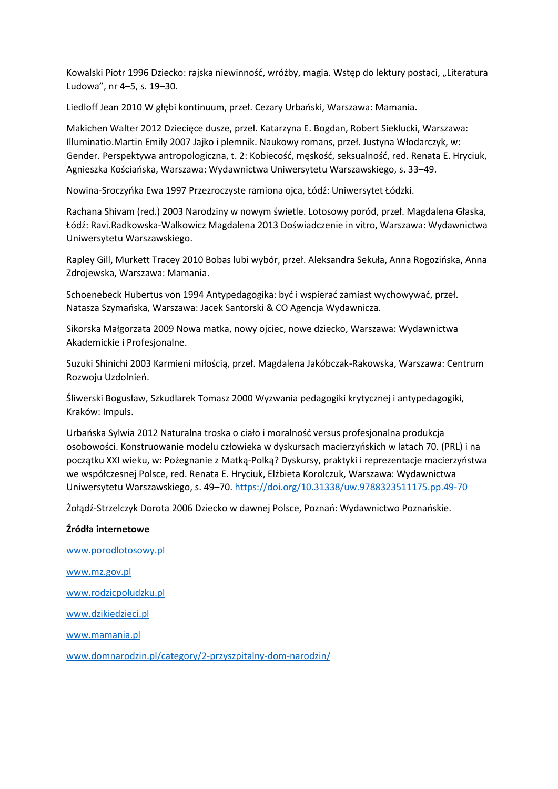Kowalski Piotr 1996 Dziecko: rajska niewinność, wróżby, magia. Wstęp do lektury postaci, "Literatura Ludowa", nr 4–5, s. 19–30.

Liedloff Jean 2010 W głębi kontinuum, przeł. Cezary Urbański, Warszawa: Mamania.

Makichen Walter 2012 Dziecięce dusze, przeł. Katarzyna E. Bogdan, Robert Sieklucki, Warszawa: Illuminatio.Martin Emily 2007 Jajko i plemnik. Naukowy romans, przeł. Justyna Włodarczyk, w: Gender. Perspektywa antropologiczna, t. 2: Kobiecość, męskość, seksualność, red. Renata E. Hryciuk, Agnieszka Kościańska, Warszawa: Wydawnictwa Uniwersytetu Warszawskiego, s. 33–49.

Nowina-Sroczyńka Ewa 1997 Przezroczyste ramiona ojca, Łódź: Uniwersytet Łódzki.

Rachana Shivam (red.) 2003 Narodziny w nowym świetle. Lotosowy poród, przeł. Magdalena Głaska, Łódź: Ravi.Radkowska-Walkowicz Magdalena 2013 Doświadczenie in vitro, Warszawa: Wydawnictwa Uniwersytetu Warszawskiego.

Rapley Gill, Murkett Tracey 2010 Bobas lubi wybór, przeł. Aleksandra Sekuła, Anna Rogozińska, Anna Zdrojewska, Warszawa: Mamania.

Schoenebeck Hubertus von 1994 Antypedagogika: być i wspierać zamiast wychowywać, przeł. Natasza Szymańska, Warszawa: Jacek Santorski & CO Agencja Wydawnicza.

Sikorska Małgorzata 2009 Nowa matka, nowy ojciec, nowe dziecko, Warszawa: Wydawnictwa Akademickie i Profesjonalne.

Suzuki Shinichi 2003 Karmieni miłością, przeł. Magdalena Jakóbczak-Rakowska, Warszawa: Centrum Rozwoju Uzdolnień.

Śliwerski Bogusław, Szkudlarek Tomasz 2000 Wyzwania pedagogiki krytycznej i antypedagogiki, Kraków: Impuls.

Urbańska Sylwia 2012 Naturalna troska o ciało i moralność versus profesjonalna produkcja osobowości. Konstruowanie modelu człowieka w dyskursach macierzyńskich w latach 70. (PRL) i na początku XXI wieku, w: Pożegnanie z Matką-Polką? Dyskursy, praktyki i reprezentacje macierzyństwa we współczesnej Polsce, red. Renata E. Hryciuk, Elżbieta Korolczuk, Warszawa: Wydawnictwa Uniwersytetu Warszawskiego, s. 49–70. <https://doi.org/10.31338/uw.9788323511175.pp.49-70>

Żołądź-Strzelczyk Dorota 2006 Dziecko w dawnej Polsce, Poznań: Wydawnictwo Poznańskie.

#### **Źródła internetowe**

[www.porodlotosowy.pl](http://www.porodlotosowy.pl/) [www.mz.gov.pl](http://www.mz.gov.pl/) [www.rodzicpoludzku.pl](http://www.rodzicpoludzku.pl/) [www.dzikiedzieci.pl](http://www.dzikiedzieci.pl/) [www.mamania.pl](http://www.mamania.pl/) [www.domnarodzin.pl/category/2-przyszpitalny-dom-narodzin/](http://www.domnarodzin.pl/category/2-przyszpitalny-dom-narodzin/)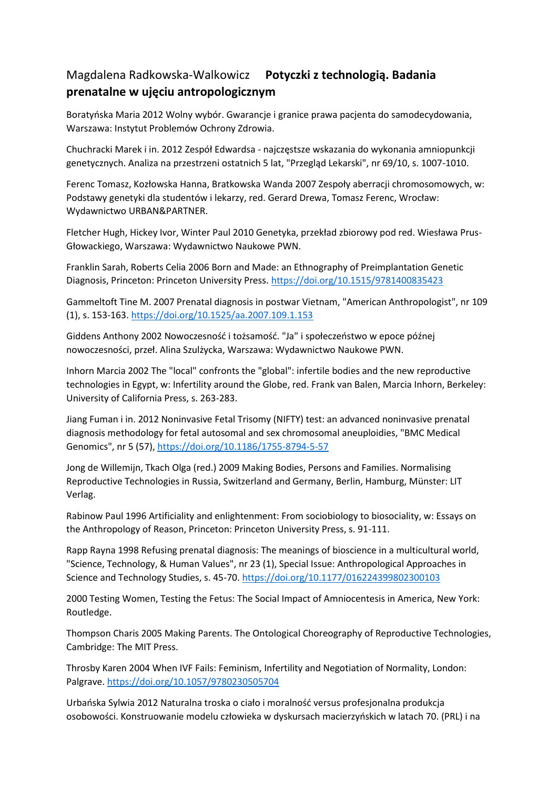# Magdalena Radkowska-Walkowicz **Potyczki z technologią. Badania prenatalne w ujęciu antropologicznym**

Boratyńska Maria 2012 Wolny wybór. Gwarancje i granice prawa pacjenta do samodecydowania, Warszawa: Instytut Problemów Ochrony Zdrowia.

Chuchracki Marek i in. 2012 Zespół Edwardsa - najczęstsze wskazania do wykonania amniopunkcji genetycznych. Analiza na przestrzeni ostatnich 5 lat, "Przegląd Lekarski", nr 69/10, s. 1007-1010.

Ferenc Tomasz, Kozłowska Hanna, Bratkowska Wanda 2007 Zespoły aberracji chromosomowych, w: Podstawy genetyki dla studentów i lekarzy, red. Gerard Drewa, Tomasz Ferenc, Wrocław: Wydawnictwo URBAN&PARTNER.

Fletcher Hugh, Hickey Ivor, Winter Paul 2010 Genetyka, przekład zbiorowy pod red. Wiesława Prus-Głowackiego, Warszawa: Wydawnictwo Naukowe PWN.

Franklin Sarah, Roberts Celia 2006 Born and Made: an Ethnography of Preimplantation Genetic Diagnosis, Princeton: Princeton University Press. <https://doi.org/10.1515/9781400835423>

Gammeltoft Tine M. 2007 Prenatal diagnosis in postwar Vietnam, "American Anthropologist", nr 109 (1), s. 153-163. <https://doi.org/10.1525/aa.2007.109.1.153>

Giddens Anthony 2002 Nowoczesność i tożsamość. "Ja" i społeczeństwo w epoce późnej nowoczesności, przeł. Alina Szulżycka, Warszawa: Wydawnictwo Naukowe PWN.

Inhorn Marcia 2002 The "local" confronts the "global": infertile bodies and the new reproductive technologies in Egypt, w: Infertility around the Globe, red. Frank van Balen, Marcia Inhorn, Berkeley: University of California Press, s. 263-283.

Jiang Fuman i in. 2012 Noninvasive Fetal Trisomy (NIFTY) test: an advanced noninvasive prenatal diagnosis methodology for fetal autosomal and sex chromosomal aneuploidies, "BMC Medical Genomics", nr 5 (57),<https://doi.org/10.1186/1755-8794-5-57>

Jong de Willemijn, Tkach Olga (red.) 2009 Making Bodies, Persons and Families. Normalising Reproductive Technologies in Russia, Switzerland and Germany, Berlin, Hamburg, Münster: LIT Verlag.

Rabinow Paul 1996 Artificiality and enlightenment: From sociobiology to biosociality, w: Essays on the Anthropology of Reason, Princeton: Princeton University Press, s. 91-111.

Rapp Rayna 1998 Refusing prenatal diagnosis: The meanings of bioscience in a multicultural world, "Science, Technology, & Human Values", nr 23 (1), Special Issue: Anthropological Approaches in Science and Technology Studies, s. 45-70. <https://doi.org/10.1177/016224399802300103>

2000 Testing Women, Testing the Fetus: The Social Impact of Amniocentesis in America, New York: Routledge.

Thompson Charis 2005 Making Parents. The Ontological Choreography of Reproductive Technologies, Cambridge: The MIT Press.

Throsby Karen 2004 When IVF Fails: Feminism, Infertility and Negotiation of Normality, London: Palgrave. <https://doi.org/10.1057/9780230505704>

Urbańska Sylwia 2012 Naturalna troska o ciało i moralność versus profesjonalna produkcja osobowości. Konstruowanie modelu człowieka w dyskursach macierzyńskich w latach 70. (PRL) i na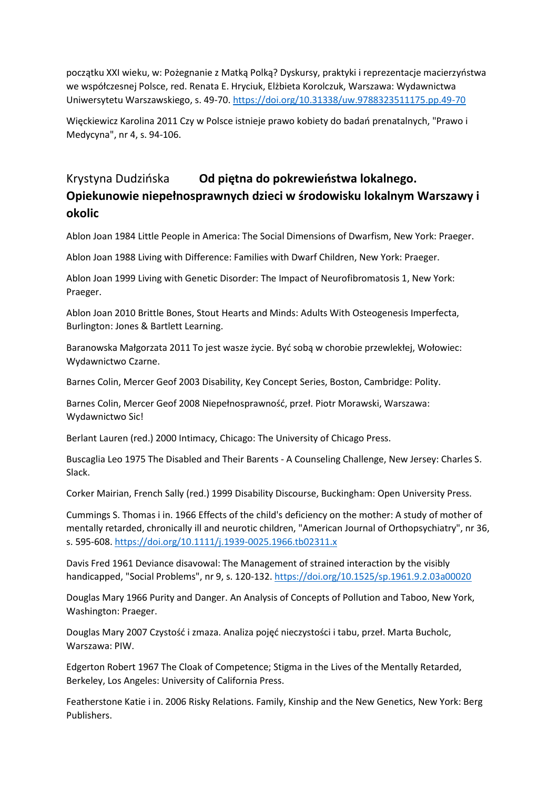początku XXI wieku, w: Pożegnanie z Matką Polką? Dyskursy, praktyki i reprezentacje macierzyństwa we współczesnej Polsce, red. Renata E. Hryciuk, Elżbieta Korolczuk, Warszawa: Wydawnictwa Uniwersytetu Warszawskiego, s. 49-70. <https://doi.org/10.31338/uw.9788323511175.pp.49-70>

Więckiewicz Karolina 2011 Czy w Polsce istnieje prawo kobiety do badań prenatalnych, "Prawo i Medycyna", nr 4, s. 94-106.

# Krystyna Dudzińska **Od piętna do pokrewieństwa lokalnego. Opiekunowie niepełnosprawnych dzieci w środowisku lokalnym Warszawy i okolic**

Ablon Joan 1984 Little People in America: The Social Dimensions of Dwarfism, New York: Praeger.

Ablon Joan 1988 Living with Difference: Families with Dwarf Children, New York: Praeger.

Ablon Joan 1999 Living with Genetic Disorder: The Impact of Neurofibromatosis 1, New York: Praeger.

Ablon Joan 2010 Brittle Bones, Stout Hearts and Minds: Adults With Osteogenesis Imperfecta, Burlington: Jones & Bartlett Learning.

Baranowska Małgorzata 2011 To jest wasze życie. Być sobą w chorobie przewlekłej, Wołowiec: Wydawnictwo Czarne.

Barnes Colin, Mercer Geof 2003 Disability, Key Concept Series, Boston, Cambridge: Polity.

Barnes Colin, Mercer Geof 2008 Niepełnosprawność, przeł. Piotr Morawski, Warszawa: Wydawnictwo Sic!

Berlant Lauren (red.) 2000 Intimacy, Chicago: The University of Chicago Press.

Buscaglia Leo 1975 The Disabled and Their Barents - A Counseling Challenge, New Jersey: Charles S. Slack.

Corker Mairian, French Sally (red.) 1999 Disability Discourse, Buckingham: Open University Press.

Cummings S. Thomas i in. 1966 Effects of the child's deficiency on the mother: A study of mother of mentally retarded, chronically ill and neurotic children, "American Journal of Orthopsychiatry", nr 36, s. 595-608. <https://doi.org/10.1111/j.1939-0025.1966.tb02311.x>

Davis Fred 1961 Deviance disavowal: The Management of strained interaction by the visibly handicapped, "Social Problems", nr 9, s. 120-132. <https://doi.org/10.1525/sp.1961.9.2.03a00020>

Douglas Mary 1966 Purity and Danger. An Analysis of Concepts of Pollution and Taboo, New York, Washington: Praeger.

Douglas Mary 2007 Czystość i zmaza. Analiza pojęć nieczystości i tabu, przeł. Marta Bucholc, Warszawa: PIW.

Edgerton Robert 1967 The Cloak of Competence; Stigma in the Lives of the Mentally Retarded, Berkeley, Los Angeles: University of California Press.

Featherstone Katie i in. 2006 Risky Relations. Family, Kinship and the New Genetics, New York: Berg Publishers.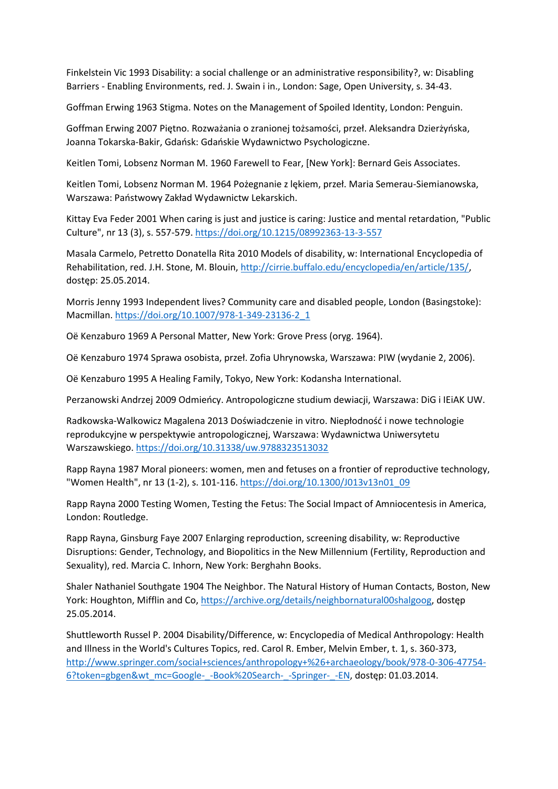Finkelstein Vic 1993 Disability: a social challenge or an administrative responsibility?, w: Disabling Barriers - Enabling Environments, red. J. Swain i in., London: Sage, Open University, s. 34-43.

Goffman Erwing 1963 Stigma. Notes on the Management of Spoiled Identity, London: Penguin.

Goffman Erwing 2007 Piętno. Rozważania o zranionej tożsamości, przeł. Aleksandra Dzierżyńska, Joanna Tokarska-Bakir, Gdańsk: Gdańskie Wydawnictwo Psychologiczne.

Keitlen Tomi, Lobsenz Norman M. 1960 Farewell to Fear, [New York]: Bernard Geis Associates.

Keitlen Tomi, Lobsenz Norman M. 1964 Pożegnanie z lękiem, przeł. Maria Semerau-Siemianowska, Warszawa: Państwowy Zakład Wydawnictw Lekarskich.

Kittay Eva Feder 2001 When caring is just and justice is caring: Justice and mental retardation, "Public Culture", nr 13 (3), s. 557-579. <https://doi.org/10.1215/08992363-13-3-557>

Masala Carmelo, Petretto Donatella Rita 2010 Models of disability, w: International Encyclopedia of Rehabilitation, red. J.H. Stone, M. Blouin[, http://cirrie.buffalo.edu/encyclopedia/en/article/135/,](http://cirrie.buffalo.edu/encyclopedia/en/article/135/) dostęp: 25.05.2014.

Morris Jenny 1993 Independent lives? Community care and disabled people, London (Basingstoke): Macmillan. [https://doi.org/10.1007/978-1-349-23136-2\\_1](https://doi.org/10.1007/978-1-349-23136-2_1)

Oë Kenzaburo 1969 A Personal Matter, New York: Grove Press (oryg. 1964).

Oë Kenzaburo 1974 Sprawa osobista, przeł. Zofia Uhrynowska, Warszawa: PIW (wydanie 2, 2006).

Oë Kenzaburo 1995 A Healing Family, Tokyo, New York: Kodansha International.

Perzanowski Andrzej 2009 Odmieńcy. Antropologiczne studium dewiacji, Warszawa: DiG i IEiAK UW.

Radkowska-Walkowicz Magalena 2013 Doświadczenie in vitro. Niepłodność i nowe technologie reprodukcyjne w perspektywie antropologicznej, Warszawa: Wydawnictwa Uniwersytetu Warszawskiego. <https://doi.org/10.31338/uw.9788323513032>

Rapp Rayna 1987 Moral pioneers: women, men and fetuses on a frontier of reproductive technology, "Women Health", nr 13 (1-2), s. 101-116. [https://doi.org/10.1300/J013v13n01\\_09](https://doi.org/10.1300/J013v13n01_09)

Rapp Rayna 2000 Testing Women, Testing the Fetus: The Social Impact of Amniocentesis in America, London: Routledge.

Rapp Rayna, Ginsburg Faye 2007 Enlarging reproduction, screening disability, w: Reproductive Disruptions: Gender, Technology, and Biopolitics in the New Millennium (Fertility, Reproduction and Sexuality), red. Marcia C. Inhorn, New York: Berghahn Books.

Shaler Nathaniel Southgate 1904 The Neighbor. The Natural History of Human Contacts, Boston, New York: Houghton, Mifflin and Co, [https://archive.org/details/neighbornatural00shalgoog,](https://archive.org/details/neighbornatural00shalgoog) dostęp 25.05.2014.

Shuttleworth Russel P. 2004 Disability/Difference, w: Encyclopedia of Medical Anthropology: Health and Illness in the World's Cultures Topics, red. Carol R. Ember, Melvin Ember, t. 1, s. 360-373, [http://www.springer.com/social+sciences/anthropology+%26+archaeology/book/978-0-306-47754-](http://www.springer.com/social+sciences/anthropology+%26+archaeology/book/978-0-306-47754-6?token=gbgen&wt_mc=Google-_-Book%20Search-_-Springer-_-EN) [6?token=gbgen&wt\\_mc=Google-\\_-Book%20Search-\\_-Springer-\\_-EN,](http://www.springer.com/social+sciences/anthropology+%26+archaeology/book/978-0-306-47754-6?token=gbgen&wt_mc=Google-_-Book%20Search-_-Springer-_-EN) dostęp: 01.03.2014.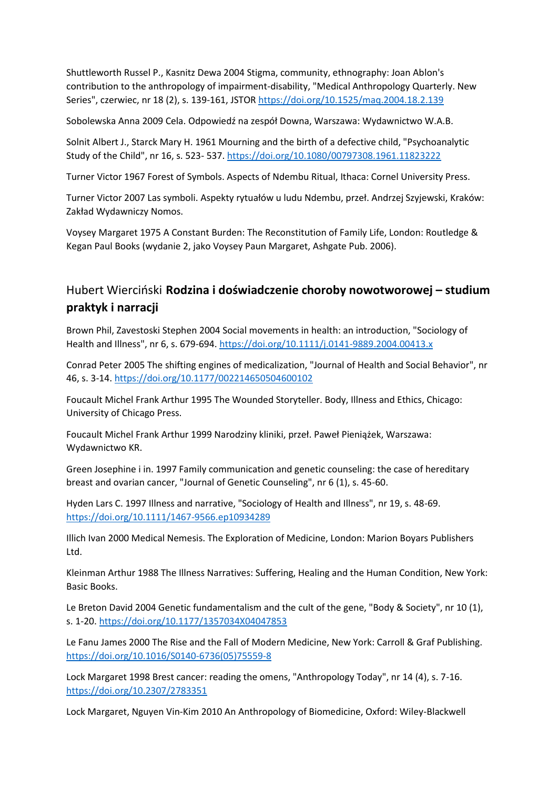Shuttleworth Russel P., Kasnitz Dewa 2004 Stigma, community, ethnography: Joan Ablon's contribution to the anthropology of impairment-disability, "Medical Anthropology Quarterly. New Series", czerwiec, nr 18 (2), s. 139-161, JSTO[R https://doi.org/10.1525/maq.2004.18.2.139](https://doi.org/10.1525/maq.2004.18.2.139)

Sobolewska Anna 2009 Cela. Odpowiedź na zespół Downa, Warszawa: Wydawnictwo W.A.B.

Solnit Albert J., Starck Mary H. 1961 Mourning and the birth of a defective child, "Psychoanalytic Study of the Child", nr 16, s. 523- 537. <https://doi.org/10.1080/00797308.1961.11823222>

Turner Victor 1967 Forest of Symbols. Aspects of Ndembu Ritual, Ithaca: Cornel University Press.

Turner Victor 2007 Las symboli. Aspekty rytuałów u ludu Ndembu, przeł. Andrzej Szyjewski, Kraków: Zakład Wydawniczy Nomos.

Voysey Margaret 1975 A Constant Burden: The Reconstitution of Family Life, London: Routledge & Kegan Paul Books (wydanie 2, jako Voysey Paun Margaret, Ashgate Pub. 2006).

## Hubert Wierciński **Rodzina i doświadczenie choroby nowotworowej – studium praktyk i narracji**

Brown Phil, Zavestoski Stephen 2004 Social movements in health: an introduction, "Sociology of Health and Illness", nr 6, s. 679-694. <https://doi.org/10.1111/j.0141-9889.2004.00413.x>

Conrad Peter 2005 The shifting engines of medicalization, "Journal of Health and Social Behavior", nr 46, s. 3-14. <https://doi.org/10.1177/002214650504600102>

Foucault Michel Frank Arthur 1995 The Wounded Storyteller. Body, Illness and Ethics, Chicago: University of Chicago Press.

Foucault Michel Frank Arthur 1999 Narodziny kliniki, przeł. Paweł Pieniążek, Warszawa: Wydawnictwo KR.

Green Josephine i in. 1997 Family communication and genetic counseling: the case of hereditary breast and ovarian cancer, "Journal of Genetic Counseling", nr 6 (1), s. 45-60.

Hyden Lars C. 1997 Illness and narrative, "Sociology of Health and Illness", nr 19, s. 48-69. <https://doi.org/10.1111/1467-9566.ep10934289>

Illich Ivan 2000 Medical Nemesis. The Exploration of Medicine, London: Marion Boyars Publishers Ltd.

Kleinman Arthur 1988 The Illness Narratives: Suffering, Healing and the Human Condition, New York: Basic Books.

Le Breton David 2004 Genetic fundamentalism and the cult of the gene, "Body & Society", nr 10 (1), s. 1-20. <https://doi.org/10.1177/1357034X04047853>

Le Fanu James 2000 The Rise and the Fall of Modern Medicine, New York: Carroll & Graf Publishing. [https://doi.org/10.1016/S0140-6736\(05\)75559-8](https://doi.org/10.1016/S0140-6736(05)75559-8)

Lock Margaret 1998 Brest cancer: reading the omens, "Anthropology Today", nr 14 (4), s. 7-16. <https://doi.org/10.2307/2783351>

Lock Margaret, Nguyen Vin-Kim 2010 An Anthropology of Biomedicine, Oxford: Wiley-Blackwell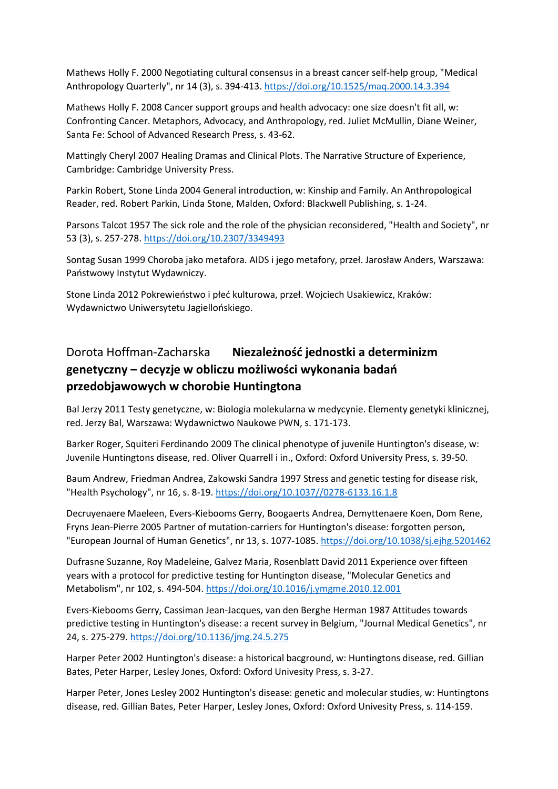Mathews Holly F. 2000 Negotiating cultural consensus in a breast cancer self-help group, "Medical Anthropology Quarterly", nr 14 (3), s. 394-413. <https://doi.org/10.1525/maq.2000.14.3.394>

Mathews Holly F. 2008 Cancer support groups and health advocacy: one size doesn't fit all, w: Confronting Cancer. Metaphors, Advocacy, and Anthropology, red. Juliet McMullin, Diane Weiner, Santa Fe: School of Advanced Research Press, s. 43-62.

Mattingly Cheryl 2007 Healing Dramas and Clinical Plots. The Narrative Structure of Experience, Cambridge: Cambridge University Press.

Parkin Robert, Stone Linda 2004 General introduction, w: Kinship and Family. An Anthropological Reader, red. Robert Parkin, Linda Stone, Malden, Oxford: Blackwell Publishing, s. 1-24.

Parsons Talcot 1957 The sick role and the role of the physician reconsidered, "Health and Society", nr 53 (3), s. 257-278. <https://doi.org/10.2307/3349493>

Sontag Susan 1999 Choroba jako metafora. AIDS i jego metafory, przeł. Jarosław Anders, Warszawa: Państwowy Instytut Wydawniczy.

Stone Linda 2012 Pokrewieństwo i płeć kulturowa, przeł. Wojciech Usakiewicz, Kraków: Wydawnictwo Uniwersytetu Jagiellońskiego.

# Dorota Hoffman-Zacharska **Niezależność jednostki a determinizm genetyczny – decyzje w obliczu możliwości wykonania badań przedobjawowych w chorobie Huntingtona**

Bal Jerzy 2011 Testy genetyczne, w: Biologia molekularna w medycynie. Elementy genetyki klinicznej, red. Jerzy Bal, Warszawa: Wydawnictwo Naukowe PWN, s. 171-173.

Barker Roger, Squiteri Ferdinando 2009 The clinical phenotype of juvenile Huntington's disease, w: Juvenile Huntingtons disease, red. Oliver Quarrell i in., Oxford: Oxford University Press, s. 39-50.

Baum Andrew, Friedman Andrea, Zakowski Sandra 1997 Stress and genetic testing for disease risk, "Health Psychology", nr 16, s. 8-19. [https://doi.org/10.1037//0278-6133.16.1.8](https://doi.org/10.1037/0278-6133.16.1.8)

Decruyenaere Maeleen, Evers-Kiebooms Gerry, Boogaerts Andrea, Demyttenaere Koen, Dom Rene, Fryns Jean-Pierre 2005 Partner of mutation-carriers for Huntington's disease: forgotten person, "European Journal of Human Genetics", nr 13, s. 1077-1085. <https://doi.org/10.1038/sj.ejhg.5201462>

Dufrasne Suzanne, Roy Madeleine, Galvez Maria, Rosenblatt David 2011 Experience over fifteen years with a protocol for predictive testing for Huntington disease, "Molecular Genetics and Metabolism", nr 102, s. 494-504. <https://doi.org/10.1016/j.ymgme.2010.12.001>

Evers-Kiebooms Gerry, Cassiman Jean-Jacques, van den Berghe Herman 1987 Attitudes towards predictive testing in Huntington's disease: a recent survey in Belgium, "Journal Medical Genetics", nr 24, s. 275-279. <https://doi.org/10.1136/jmg.24.5.275>

Harper Peter 2002 Huntington's disease: a historical bacground, w: Huntingtons disease, red. Gillian Bates, Peter Harper, Lesley Jones, Oxford: Oxford Univesity Press, s. 3-27.

Harper Peter, Jones Lesley 2002 Huntington's disease: genetic and molecular studies, w: Huntingtons disease, red. Gillian Bates, Peter Harper, Lesley Jones, Oxford: Oxford Univesity Press, s. 114-159.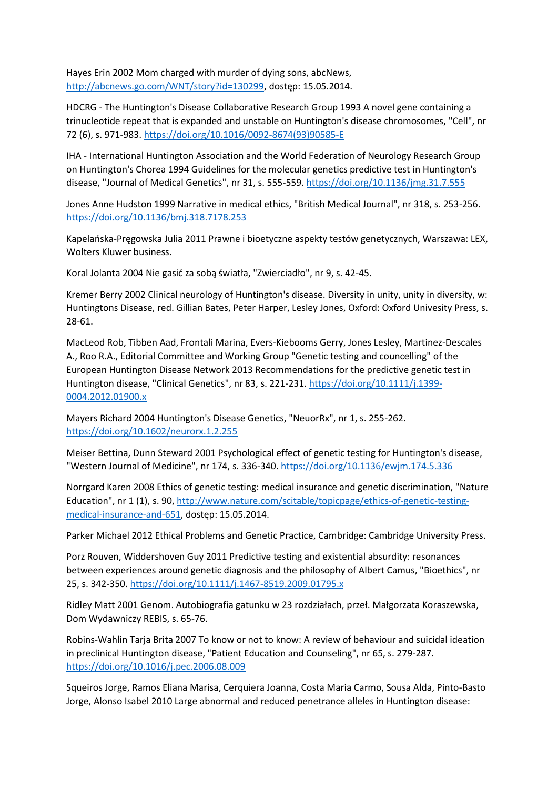Hayes Erin 2002 Mom charged with murder of dying sons, abcNews, [http://abcnews.go.com/WNT/story?id=130299,](http://abcnews.go.com/WNT/story?id=130299) dostęp: 15.05.2014.

HDCRG - The Huntington's Disease Collaborative Research Group 1993 A novel gene containing a trinucleotide repeat that is expanded and unstable on Huntington's disease chromosomes, "Cell", nr 72 (6), s. 971-983. [https://doi.org/10.1016/0092-8674\(93\)90585-E](https://doi.org/10.1016/0092-8674(93)90585-E)

IHA - International Huntington Association and the World Federation of Neurology Research Group on Huntington's Chorea 1994 Guidelines for the molecular genetics predictive test in Huntington's disease, "Journal of Medical Genetics", nr 31, s. 555-559. <https://doi.org/10.1136/jmg.31.7.555>

Jones Anne Hudston 1999 Narrative in medical ethics, "British Medical Journal", nr 318, s. 253-256. <https://doi.org/10.1136/bmj.318.7178.253>

Kapelańska-Pręgowska Julia 2011 Prawne i bioetyczne aspekty testów genetycznych, Warszawa: LEX, Wolters Kluwer business.

Koral Jolanta 2004 Nie gasić za sobą światła, "Zwierciadło", nr 9, s. 42-45.

Kremer Berry 2002 Clinical neurology of Huntington's disease. Diversity in unity, unity in diversity, w: Huntingtons Disease, red. Gillian Bates, Peter Harper, Lesley Jones, Oxford: Oxford Univesity Press, s. 28-61.

MacLeod Rob, Tibben Aad, Frontali Marina, Evers-Kiebooms Gerry, Jones Lesley, Martinez-Descales A., Roo R.A., Editorial Committee and Working Group "Genetic testing and councelling" of the European Huntington Disease Network 2013 Recommendations for the predictive genetic test in Huntington disease, "Clinical Genetics", nr 83, s. 221-231. [https://doi.org/10.1111/j.1399-](https://doi.org/10.1111/j.1399-0004.2012.01900.x) [0004.2012.01900.x](https://doi.org/10.1111/j.1399-0004.2012.01900.x)

Mayers Richard 2004 Huntington's Disease Genetics, "NeuorRx", nr 1, s. 255-262. <https://doi.org/10.1602/neurorx.1.2.255>

Meiser Bettina, Dunn Steward 2001 Psychological effect of genetic testing for Huntington's disease, "Western Journal of Medicine", nr 174, s. 336-340. <https://doi.org/10.1136/ewjm.174.5.336>

Norrgard Karen 2008 Ethics of genetic testing: medical insurance and genetic discrimination, "Nature Education", nr 1 (1), s. 90[, http://www.nature.com/scitable/topicpage/ethics-of-genetic-testing](http://www.nature.com/scitable/topicpage/ethics-of-genetic-testing-medical-insurance-and-651)[medical-insurance-and-651,](http://www.nature.com/scitable/topicpage/ethics-of-genetic-testing-medical-insurance-and-651) dostęp: 15.05.2014.

Parker Michael 2012 Ethical Problems and Genetic Practice, Cambridge: Cambridge University Press.

Porz Rouven, Widdershoven Guy 2011 Predictive testing and existential absurdity: resonances between experiences around genetic diagnosis and the philosophy of Albert Camus, "Bioethics", nr 25, s. 342-350. <https://doi.org/10.1111/j.1467-8519.2009.01795.x>

Ridley Matt 2001 Genom. Autobiografia gatunku w 23 rozdziałach, przeł. Małgorzata Koraszewska, Dom Wydawniczy REBIS, s. 65-76.

Robins-Wahlin Tarja Brita 2007 To know or not to know: A review of behaviour and suicidal ideation in preclinical Huntington disease, "Patient Education and Counseling", nr 65, s. 279-287. <https://doi.org/10.1016/j.pec.2006.08.009>

Squeiros Jorge, Ramos Eliana Marisa, Cerquiera Joanna, Costa Maria Carmo, Sousa Alda, Pinto-Basto Jorge, Alonso Isabel 2010 Large abnormal and reduced penetrance alleles in Huntington disease: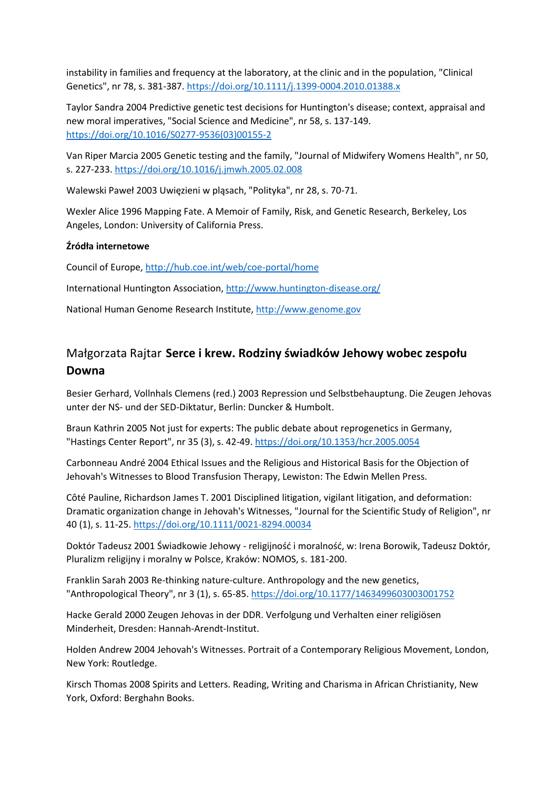instability in families and frequency at the laboratory, at the clinic and in the population, "Clinical Genetics", nr 78, s. 381-387. <https://doi.org/10.1111/j.1399-0004.2010.01388.x>

Taylor Sandra 2004 Predictive genetic test decisions for Huntington's disease; context, appraisal and new moral imperatives, "Social Science and Medicine", nr 58, s. 137-149. [https://doi.org/10.1016/S0277-9536\(03\)00155-2](https://doi.org/10.1016/S0277-9536(03)00155-2)

Van Riper Marcia 2005 Genetic testing and the family, "Journal of Midwifery Womens Health", nr 50, s. 227-233. <https://doi.org/10.1016/j.jmwh.2005.02.008>

Walewski Paweł 2003 Uwięzieni w pląsach, "Polityka", nr 28, s. 70-71.

Wexler Alice 1996 Mapping Fate. A Memoir of Family, Risk, and Genetic Research, Berkeley, Los Angeles, London: University of California Press.

#### **Źródła internetowe**

Council of Europe,<http://hub.coe.int/web/coe-portal/home>

International Huntington Association,<http://www.huntington-disease.org/>

National Human Genome Research Institute, [http://www.genome.gov](http://www.genome.gov/)

### Małgorzata Rajtar **Serce i krew. Rodziny świadków Jehowy wobec zespołu Downa**

Besier Gerhard, Vollnhals Clemens (red.) 2003 Repression und Selbstbehauptung. Die Zeugen Jehovas unter der NS- und der SED-Diktatur, Berlin: Duncker & Humbolt.

Braun Kathrin 2005 Not just for experts: The public debate about reprogenetics in Germany, "Hastings Center Report", nr 35 (3), s. 42-49. <https://doi.org/10.1353/hcr.2005.0054>

Carbonneau André 2004 Ethical Issues and the Religious and Historical Basis for the Objection of Jehovah's Witnesses to Blood Transfusion Therapy, Lewiston: The Edwin Mellen Press.

Côté Pauline, Richardson James T. 2001 Disciplined litigation, vigilant litigation, and deformation: Dramatic organization change in Jehovah's Witnesses, "Journal for the Scientific Study of Religion", nr 40 (1), s. 11-25. <https://doi.org/10.1111/0021-8294.00034>

Doktór Tadeusz 2001 Świadkowie Jehowy - religijność i moralność, w: Irena Borowik, Tadeusz Doktór, Pluralizm religijny i moralny w Polsce, Kraków: NOMOS, s. 181-200.

Franklin Sarah 2003 Re-thinking nature-culture. Anthropology and the new genetics, "Anthropological Theory", nr 3 (1), s. 65-85. <https://doi.org/10.1177/1463499603003001752>

Hacke Gerald 2000 Zeugen Jehovas in der DDR. Verfolgung und Verhalten einer religiösen Minderheit, Dresden: Hannah-Arendt-Institut.

Holden Andrew 2004 Jehovah's Witnesses. Portrait of a Contemporary Religious Movement, London, New York: Routledge.

Kirsch Thomas 2008 Spirits and Letters. Reading, Writing and Charisma in African Christianity, New York, Oxford: Berghahn Books.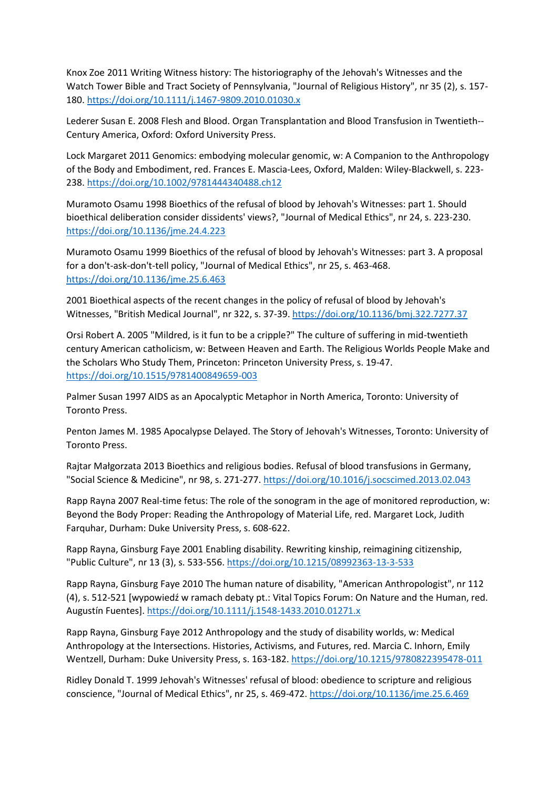Knox Zoe 2011 Writing Witness history: The historiography of the Jehovah's Witnesses and the Watch Tower Bible and Tract Society of Pennsylvania, "Journal of Religious History", nr 35 (2), s. 157- 180. <https://doi.org/10.1111/j.1467-9809.2010.01030.x>

Lederer Susan E. 2008 Flesh and Blood. Organ Transplantation and Blood Transfusion in Twentieth-- Century America, Oxford: Oxford University Press.

Lock Margaret 2011 Genomics: embodying molecular genomic, w: A Companion to the Anthropology of the Body and Embodiment, red. Frances E. Mascia-Lees, Oxford, Malden: Wiley-Blackwell, s. 223- 238. <https://doi.org/10.1002/9781444340488.ch12>

Muramoto Osamu 1998 Bioethics of the refusal of blood by Jehovah's Witnesses: part 1. Should bioethical deliberation consider dissidents' views?, "Journal of Medical Ethics", nr 24, s. 223-230. <https://doi.org/10.1136/jme.24.4.223>

Muramoto Osamu 1999 Bioethics of the refusal of blood by Jehovah's Witnesses: part 3. A proposal for a don't-ask-don't-tell policy, "Journal of Medical Ethics", nr 25, s. 463-468. <https://doi.org/10.1136/jme.25.6.463>

2001 Bioethical aspects of the recent changes in the policy of refusal of blood by Jehovah's Witnesses, "British Medical Journal", nr 322, s. 37-39. <https://doi.org/10.1136/bmj.322.7277.37>

Orsi Robert A. 2005 "Mildred, is it fun to be a cripple?" The culture of suffering in mid-twentieth century American catholicism, w: Between Heaven and Earth. The Religious Worlds People Make and the Scholars Who Study Them, Princeton: Princeton University Press, s. 19-47. <https://doi.org/10.1515/9781400849659-003>

Palmer Susan 1997 AIDS as an Apocalyptic Metaphor in North America, Toronto: University of Toronto Press.

Penton James M. 1985 Apocalypse Delayed. The Story of Jehovah's Witnesses, Toronto: University of Toronto Press.

Rajtar Małgorzata 2013 Bioethics and religious bodies. Refusal of blood transfusions in Germany, "Social Science & Medicine", nr 98, s. 271-277. <https://doi.org/10.1016/j.socscimed.2013.02.043>

Rapp Rayna 2007 Real-time fetus: The role of the sonogram in the age of monitored reproduction, w: Beyond the Body Proper: Reading the Anthropology of Material Life, red. Margaret Lock, Judith Farquhar, Durham: Duke University Press, s. 608-622.

Rapp Rayna, Ginsburg Faye 2001 Enabling disability. Rewriting kinship, reimagining citizenship, "Public Culture", nr 13 (3), s. 533-556. <https://doi.org/10.1215/08992363-13-3-533>

Rapp Rayna, Ginsburg Faye 2010 The human nature of disability, "American Anthropologist", nr 112 (4), s. 512-521 [wypowiedź w ramach debaty pt.: Vital Topics Forum: On Nature and the Human, red. Augustín Fuentes]. <https://doi.org/10.1111/j.1548-1433.2010.01271.x>

Rapp Rayna, Ginsburg Faye 2012 Anthropology and the study of disability worlds, w: Medical Anthropology at the Intersections. Histories, Activisms, and Futures, red. Marcia C. Inhorn, Emily Wentzell, Durham: Duke University Press, s. 163-182. <https://doi.org/10.1215/9780822395478-011>

Ridley Donald T. 1999 Jehovah's Witnesses' refusal of blood: obedience to scripture and religious conscience, "Journal of Medical Ethics", nr 25, s. 469-472. <https://doi.org/10.1136/jme.25.6.469>